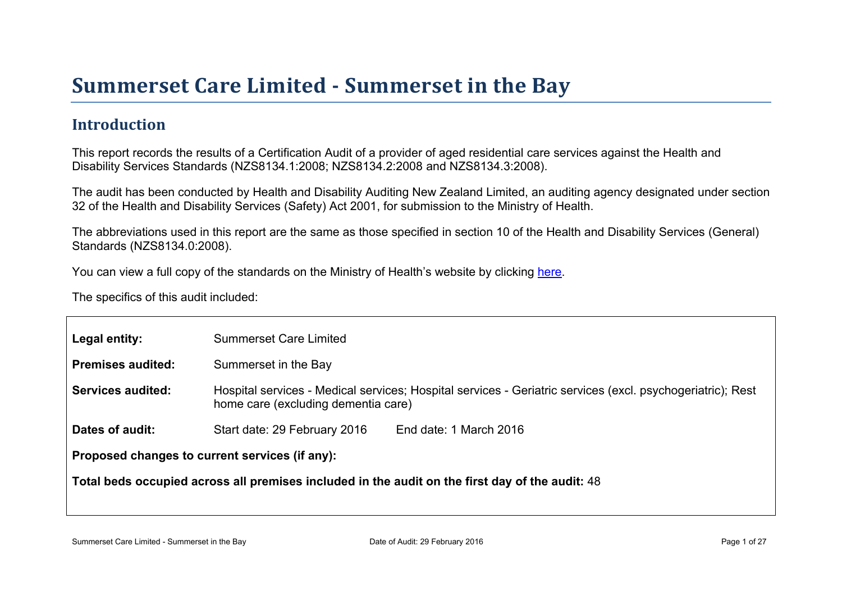## Introduction

This report records the results of a Certification Audit of a provider of aged residential care services against the Health and Disability Services Standards (NZS8134.1:2008; NZS8134.2:2008 and NZS8134.3:2008).

The audit has been conducted by Health and Disability Auditing New Zealand Limited, an auditing agency designated under section 32 of the Health and Disability Services (Safety) Act 2001, for submission to the Ministry of Health.

The abbreviations used in this report are the same as those specified in section 10 of the Health and Disability Services (General) Standards (NZS8134.0:2008).

You can view a full copy of the standards on the Ministry of Health's website by clicking [here.](http://www.health.govt.nz/our-work/regulation-health-and-disability-system/certification-health-care-services/health-and-disability-services-standards)

The specifics of this audit included:

| Legal entity:                                     | <b>Summerset Care Limited</b>                                                                                                                     |  |  |
|---------------------------------------------------|---------------------------------------------------------------------------------------------------------------------------------------------------|--|--|
| Premises audited:                                 | Summerset in the Bay                                                                                                                              |  |  |
| Services audited:                                 | Hospital services - Medical services; Hospital services - Geriatric services (excl. psychogeriatric); Rest<br>home care (excluding dementia care) |  |  |
| Dates of audit:                                   | Start date: 29 February 2016<br>End date: 1 March 2016                                                                                            |  |  |
| Proposed changes to current<br>services (if any): |                                                                                                                                                   |  |  |
|                                                   | Total beds occupied across all premises included<br>in the audit on the first day of the audit: 48                                                |  |  |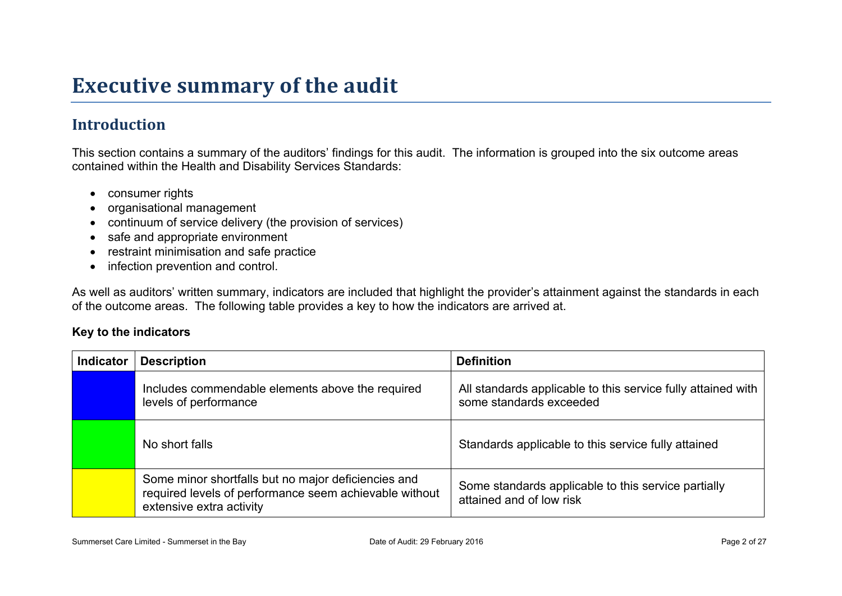# **Executive summary of the audit**

## **Introduction**

This section contains a summary of the auditors' findings for this audit. The information is grouped into the six outcome areas contained within the Health and Disability Services Standards:

- consumer rights
- organisational management
- continuum of service delivery (the provision of services)
- safe and appropriate environment
- restraint minimisation and safe practice
- infection prevention and control.

As well as auditors' written summary, indicators are included that highlight the provider's attainment against the standards in each of the outcome areas. The following table provides a key to how the indicators are arrived at.

#### **Key to the indicators**

| <b>Indicator</b> | <b>Description</b>                                                                                                                        | <b>Definition</b>                                                                       |
|------------------|-------------------------------------------------------------------------------------------------------------------------------------------|-----------------------------------------------------------------------------------------|
|                  | Includes commendable elements above the required<br>levels of performance                                                                 | All standards applicable to this service fully attained with<br>some standards exceeded |
|                  | No short falls                                                                                                                            | Standards applicable to this service fully attained                                     |
|                  | Some minor shortfalls but no major deficiencies and<br>required levels of performance seem achievable without<br>extensive extra activity | Some standards applicable to this service partially<br>attained and of low risk         |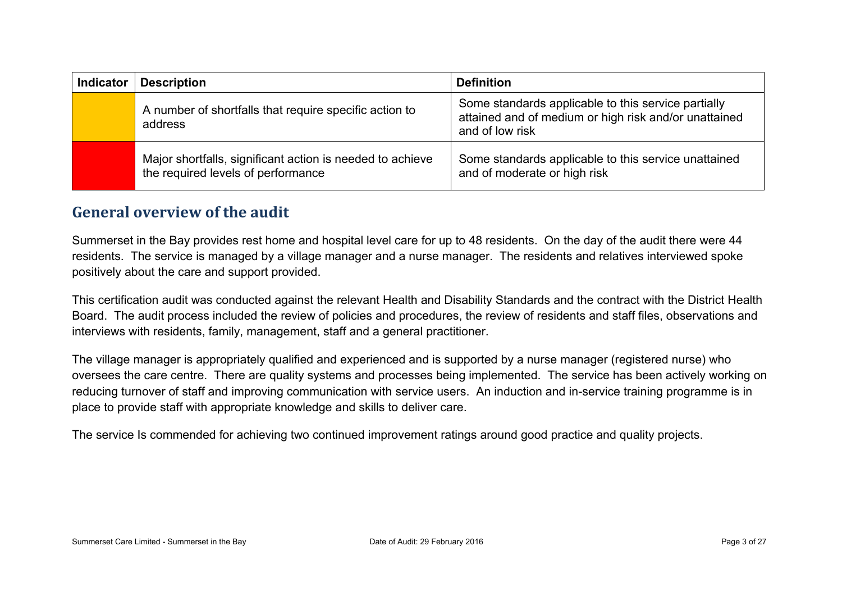| <b>Indicator</b> | <b>Description</b>                                                                              | <b>Definition</b>                                                                                                               |
|------------------|-------------------------------------------------------------------------------------------------|---------------------------------------------------------------------------------------------------------------------------------|
|                  | A number of shortfalls that require specific action to<br>address                               | Some standards applicable to this service partially<br>attained and of medium or high risk and/or unattained<br>and of low risk |
|                  | Major shortfalls, significant action is needed to achieve<br>the required levels of performance | Some standards applicable to this service unattained<br>and of moderate or high risk                                            |

#### **General overview of the audit**

Summerset in the Bay provides rest home and hospital level care for up to 48 residents. On the day of the audit there were 44 residents. The service is managed by a village manager and a nurse manager. The residents and relatives interviewed spoke positively about the care and support provided.

This certification audit was conducted against the relevant Health and Disability Standards and the contract with the District Health Board. The audit process included the review of policies and procedures, the review of residents and staff files, observations and interviews with residents, family, management, staff and a general practitioner.

The village manager is appropriately qualified and experienced and is supported by a nurse manager (registered nurse) who oversees the care centre. There are quality systems and processes being implemented. The service has been actively working on reducing turnover of staff and improving communication with service users. An induction and in-service training programme is in place to provide staff with appropriate knowledge and skills to deliver care.

The service Is commended for achieving two continued improvement ratings around good practice and quality projects.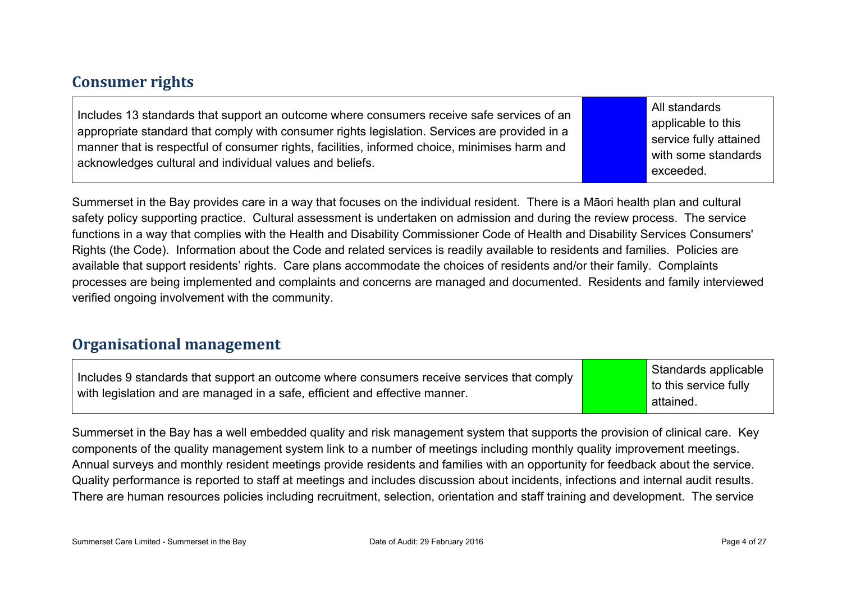#### **Consumer rights**

Includes 13 standards that support an outcome where consumers receive safe services of an appropriate standard that comply with consumer rights legislation. Services are provided in a manner that is respectful of consumer rights, facilities, informed choice, minimises harm and acknowledges cultural and individual values and beliefs.

All standards applicable to this service fully attained with some standards exceeded.

Summerset in the Bay provides care in a way that focuses on the individual resident. There is a Māori health plan and cultural safety policy supporting practice. Cultural assessment is undertaken on admission and during the review process. The service functions in a way that complies with the Health and Disability Commissioner Code of Health and Disability Services Consumers' Rights (the Code). Information about the Code and related services is readily available to residents and families. Policies are available that support residents' rights. Care plans accommodate the choices of residents and/or their family. Complaints processes are being implemented and complaints and concerns are managed and documented. Residents and family interviewed verified ongoing involvement with the community.

#### **Organisational management**

Includes 9 standards that support an outcome where consumers receive services that comply with legislation and are managed in a safe, efficient and effective manner.

Standards applicable to this service fully attained.

Summerset in the Bay has a well embedded quality and risk management system that supports the provision of clinical care. Key components of the quality management system link to a number of meetings including monthly quality improvement meetings. Annual surveys and monthly resident meetings provide residents and families with an opportunity for feedback about the service. Quality performance is reported to staff at meetings and includes discussion about incidents, infections and internal audit results. There are human resources policies including recruitment, selection, orientation and staff training and development. The service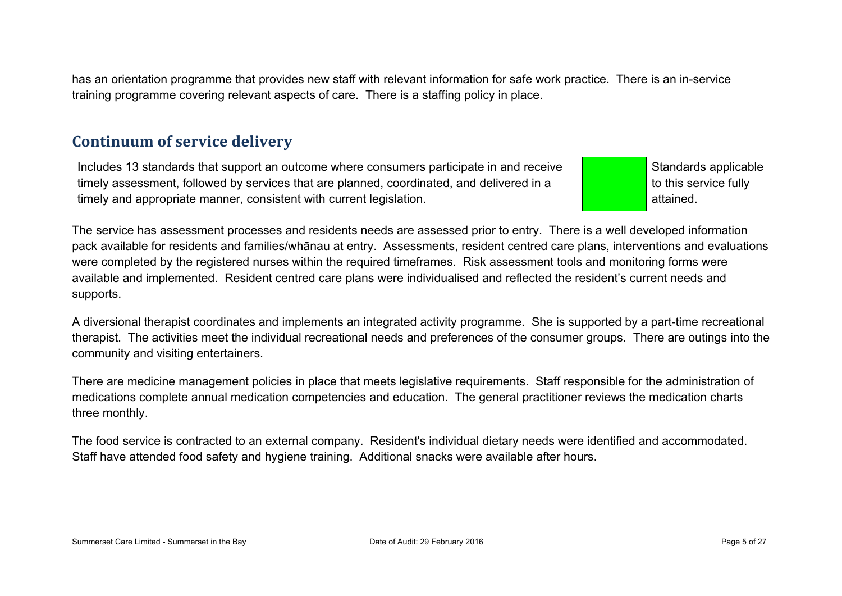has an orientation programme that provides new staff with relevant information for safe work practice. There is an in-service training programme covering relevant aspects of care. There is a staffing policy in place.

#### **Continuum of service delivery**

Includes 13 standards that support an outcome where consumers participate in and receive timely assessment, followed by services that are planned, coordinated, and delivered in a timely and appropriate manner, consistent with current legislation. Standards applicable to this service fully attained.

The service has assessment processes and residents needs are assessed prior to entry. There is a well developed information pack available for residents and families/whānau at entry. Assessments, resident centred care plans, interventions and evaluations were completed by the registered nurses within the required timeframes. Risk assessment tools and monitoring forms were available and implemented. Resident centred care plans were individualised and reflected the resident's current needs and supports.

A diversional therapist coordinates and implements an integrated activity programme. She is supported by a part-time recreational therapist. The activities meet the individual recreational needs and preferences of the consumer groups. There are outings into the community and visiting entertainers.

There are medicine management policies in place that meets legislative requirements. Staff responsible for the administration of medications complete annual medication competencies and education. The general practitioner reviews the medication charts three monthly.

The food service is contracted to an external company. Resident's individual dietary needs were identified and accommodated. Staff have attended food safety and hygiene training. Additional snacks were available after hours.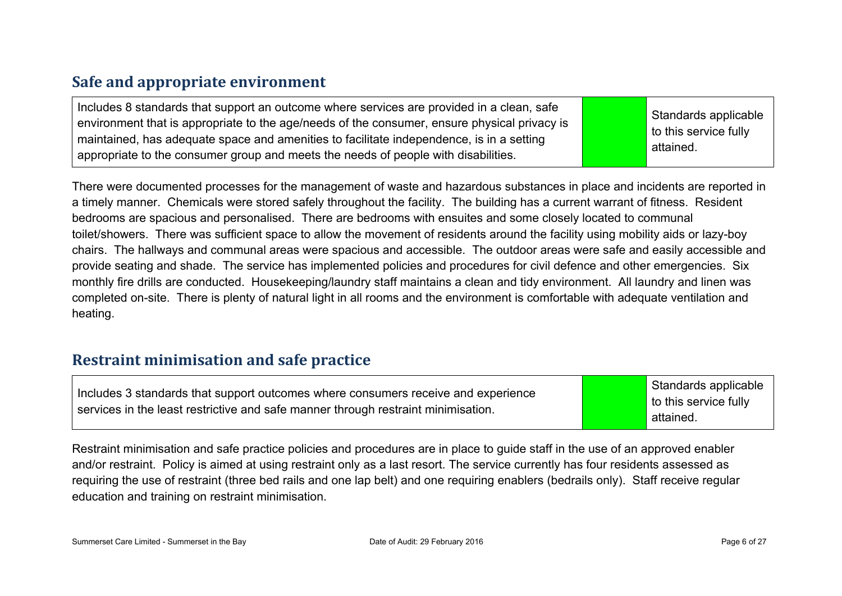## **Safe and appropriate environment**

| Includes 8 standards that support an outcome where services are provided in a clean, safe<br>environment that is appropriate to the age/needs of the consumer, ensure physical privacy is<br>maintained, has adequate space and amenities to facilitate independence, is in a setting<br>appropriate to the consumer group and meets the needs of people with disabilities. |  | Standards applicable<br>to this service fully<br>attained. |
|-----------------------------------------------------------------------------------------------------------------------------------------------------------------------------------------------------------------------------------------------------------------------------------------------------------------------------------------------------------------------------|--|------------------------------------------------------------|
|-----------------------------------------------------------------------------------------------------------------------------------------------------------------------------------------------------------------------------------------------------------------------------------------------------------------------------------------------------------------------------|--|------------------------------------------------------------|

There were documented processes for the management of waste and hazardous substances in place and incidents are reported in a timely manner. Chemicals were stored safely throughout the facility. The building has a current warrant of fitness. Resident bedrooms are spacious and personalised. There are bedrooms with ensuites and some closely located to communal toilet/showers. There was sufficient space to allow the movement of residents around the facility using mobility aids or lazy-boy chairs. The hallways and communal areas were spacious and accessible. The outdoor areas were safe and easily accessible and provide seating and shade. The service has implemented policies and procedures for civil defence and other emergencies. Six monthly fire drills are conducted. Housekeeping/laundry staff maintains a clean and tidy environment. All laundry and linen was completed on-site. There is plenty of natural light in all rooms and the environment is comfortable with adequate ventilation and heating.

#### **Restraint minimisation and safe practice**

Includes 3 standards that support outcomes where consumers receive and experience services in the least restrictive and safe manner through restraint minimisation.

Standards applicable to this service fully attained.

Restraint minimisation and safe practice policies and procedures are in place to guide staff in the use of an approved enabler and/or restraint. Policy is aimed at using restraint only as a last resort. The service currently has four residents assessed as requiring the use of restraint (three bed rails and one lap belt) and one requiring enablers (bedrails only). Staff receive regular education and training on restraint minimisation.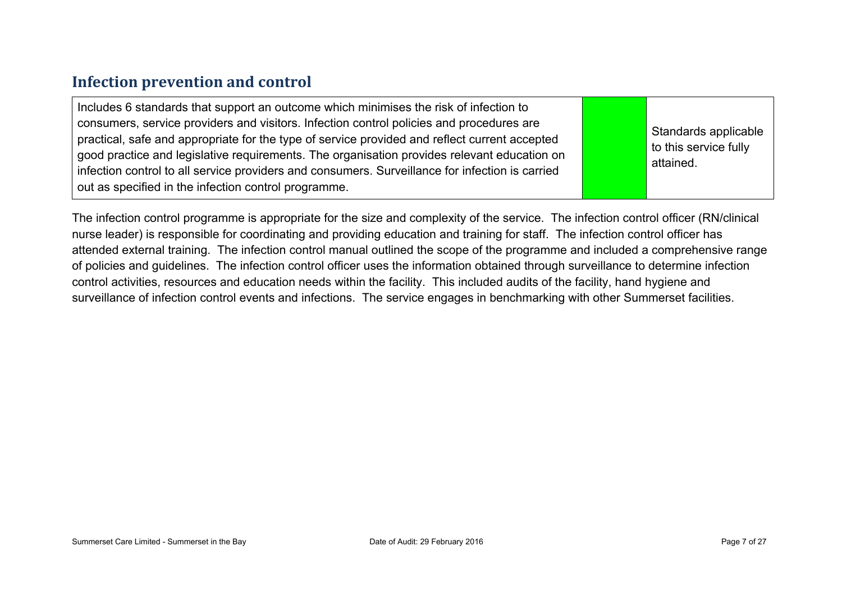#### **Infection prevention and control**

| Includes 6 standards that support an outcome which minimises the risk of infection to<br>consumers, service providers and visitors. Infection control policies and procedures are<br>practical, safe and appropriate for the type of service provided and reflect current accepted<br>good practice and legislative requirements. The organisation provides relevant education on<br>infection control to all service providers and consumers. Surveillance for infection is carried<br>out as specified in the infection control programme. |  | Standards applicable<br>to this service fully<br>attained. |
|----------------------------------------------------------------------------------------------------------------------------------------------------------------------------------------------------------------------------------------------------------------------------------------------------------------------------------------------------------------------------------------------------------------------------------------------------------------------------------------------------------------------------------------------|--|------------------------------------------------------------|
|----------------------------------------------------------------------------------------------------------------------------------------------------------------------------------------------------------------------------------------------------------------------------------------------------------------------------------------------------------------------------------------------------------------------------------------------------------------------------------------------------------------------------------------------|--|------------------------------------------------------------|

The infection control programme is appropriate for the size and complexity of the service. The infection control officer (RN/clinical nurse leader) is responsible for coordinating and providing education and training for staff. The infection control officer has attended external training. The infection control manual outlined the scope of the programme and included a comprehensive range of policies and guidelines. The infection control officer uses the information obtained through surveillance to determine infection control activities, resources and education needs within the facility. This included audits of the facility, hand hygiene and surveillance of infection control events and infections. The service engages in benchmarking with other Summerset facilities.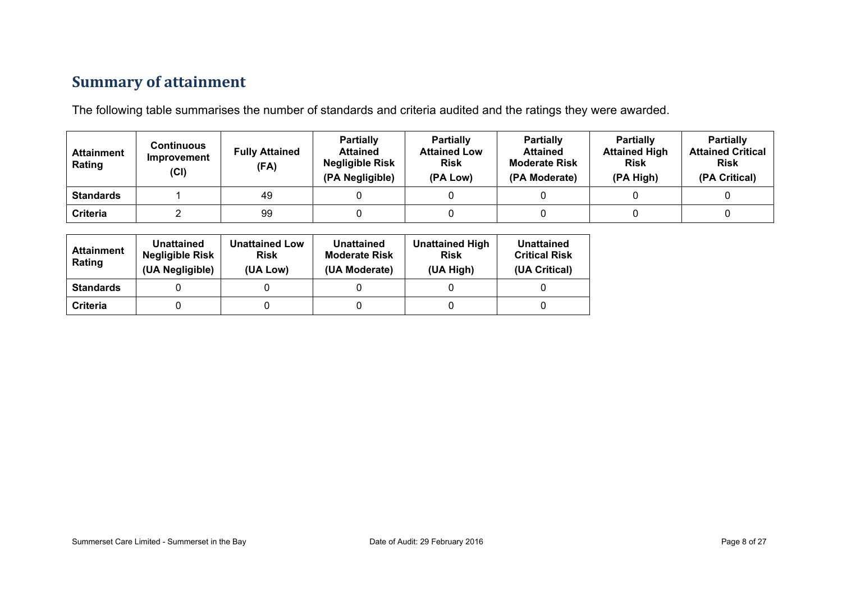## **Summary of attainment**

The following table summarises the number of standards and criteria audited and the ratings they were awarded.

| <b>Attainment</b><br>Rating | Continuous<br>Improvement<br>(Cl) | <b>Fully Attained</b><br>(FA) | <b>Partially</b><br><b>Attained</b><br><b>Negligible Risk</b><br>(PA Negligible) | <b>Partially</b><br><b>Attained Low</b><br><b>Risk</b><br>(PA Low) | <b>Partially</b><br><b>Attained</b><br><b>Moderate Risk</b><br>(PA Moderate) | <b>Partially</b><br><b>Attained High</b><br><b>Risk</b><br>(PA High) | <b>Partially</b><br><b>Attained Critical</b><br><b>Risk</b><br>(PA Critical) |
|-----------------------------|-----------------------------------|-------------------------------|----------------------------------------------------------------------------------|--------------------------------------------------------------------|------------------------------------------------------------------------------|----------------------------------------------------------------------|------------------------------------------------------------------------------|
| <b>Standards</b>            |                                   | 49                            |                                                                                  |                                                                    |                                                                              |                                                                      |                                                                              |
| Criteria                    |                                   | 99                            |                                                                                  |                                                                    |                                                                              |                                                                      |                                                                              |

| <b>Attainment</b><br>Rating | Unattained<br><b>Negligible Risk</b><br>(UA Negligible) | <b>Unattained Low</b><br><b>Risk</b><br>(UA Low) | Unattained<br><b>Moderate Risk</b><br>(UA Moderate) | <b>Unattained High</b><br><b>Risk</b><br>(UA High) | Unattained<br><b>Critical Risk</b><br>(UA Critical) |
|-----------------------------|---------------------------------------------------------|--------------------------------------------------|-----------------------------------------------------|----------------------------------------------------|-----------------------------------------------------|
| <b>Standards</b>            |                                                         |                                                  |                                                     |                                                    |                                                     |
| Criteria                    |                                                         |                                                  |                                                     |                                                    |                                                     |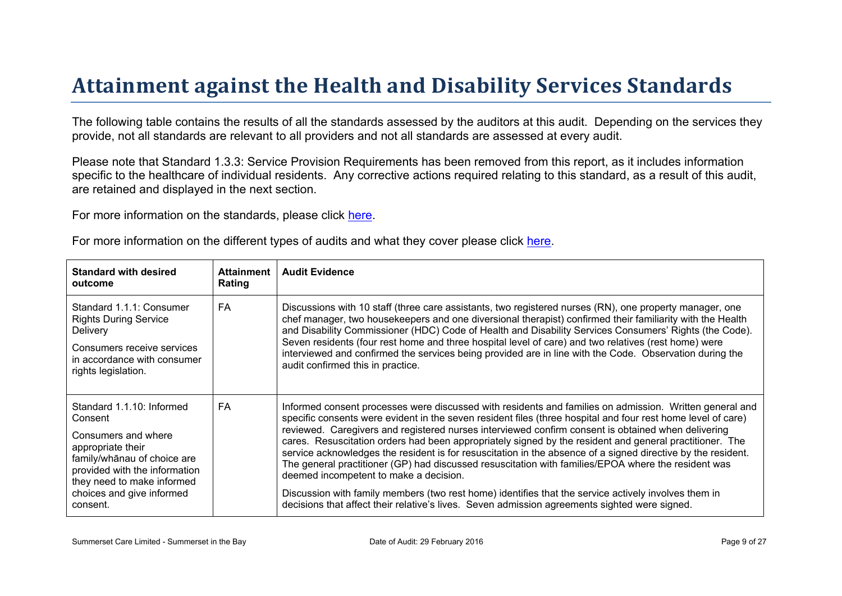# Attainment against the Health and Disability Ser vices Standar ds

The following table contains the results of all the standards assessed by the auditors at this audit. Depending on the services they provide, not all standards are relevant to all providers and not all standards are assessed at every audit.

Please note that Standard 1.3.3: Service Provision Requirements has been removed from this report, as it includes information specific to the healthcare of individual residents. Any corrective actions required relating to this standard, as a result of this audit, are retained and displayed in the next section.

For more information on the standards, please click [here](http://www.health.govt.nz/our-work/regulation-health-and-disability-system/certification-health-care-services/health-and-disability-services-standards).

|  |  |  |  | For more information on the different types of audits and what they cover please click here. |
|--|--|--|--|----------------------------------------------------------------------------------------------|
|--|--|--|--|----------------------------------------------------------------------------------------------|

| Standard with desired<br>outcome                                                                                                                                                                                 | Attainment<br>Rating | <b>Audit Evidence</b>                                                                                                                                                                                                                                                                                                                                                                                                                                                                                                                                                                                                                                                                                                                                                                                                                                                                                              |
|------------------------------------------------------------------------------------------------------------------------------------------------------------------------------------------------------------------|----------------------|--------------------------------------------------------------------------------------------------------------------------------------------------------------------------------------------------------------------------------------------------------------------------------------------------------------------------------------------------------------------------------------------------------------------------------------------------------------------------------------------------------------------------------------------------------------------------------------------------------------------------------------------------------------------------------------------------------------------------------------------------------------------------------------------------------------------------------------------------------------------------------------------------------------------|
| Standard 1.1.1: Consumer<br><b>Rights During Service</b><br><b>Delivery</b><br>Consumers receive services<br>in accordance with consumer<br>rights legislation.                                                  | FA                   | Discussions with 10 staff (three care assistants, two registered nurses (RN), one property manager, one<br>chef manager, two housekeepers and one diversional therapist) confirmed their familiarity with the Health<br>and Disability Commissioner (HDC) Code of Health and Disability Services Consumers' Rights (the Code).<br>Seven residents (four rest home and three hospital level of care) and two relatives (rest home) were<br>interviewed and confirmed the services being provided are in line with the Code. Observation during the<br>audit confirmed this in practice.                                                                                                                                                                                                                                                                                                                             |
| Standard 1.1.10: Informed<br>Consent<br>Consumers and where<br>appropriate their<br>$% > 1$ @ choice are<br>provided with the information<br>they need to make informed<br>choices and give informed<br>consent. | <b>FA</b>            | Informed consent processes were discussed with residents and families on admission. Written general and<br>specific consents were evident in the seven resident files (three hospital and four rest home level of care)<br>reviewed. Caregivers and registered nurses interviewed confirm consent is obtained when delivering<br>cares. Resuscitation orders had been appropriately signed by the resident and general practitioner. The<br>service acknowledges the resident is for resuscitation in the absence of a signed directive by the resident.<br>The general practitioner (GP) had discussed resuscitation with families/EPOA where the resident was<br>deemed incompetent to make a decision.<br>Discussion with family members (two rest home) identifies that the service actively involves them in<br>decisions that affect their relative's lives. Seven admission agreements sighted were signed. |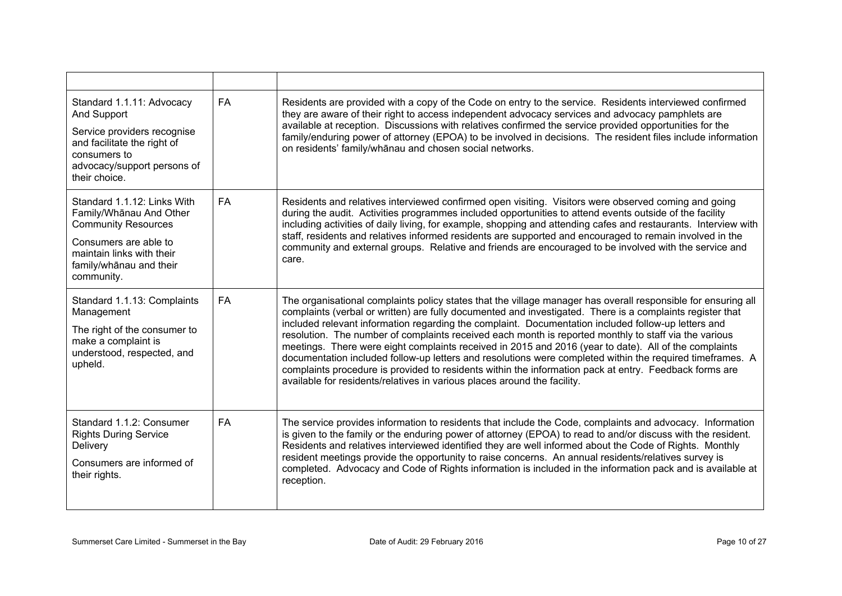| Standard 1.1.11: Advocacy<br>And Support<br>Service providers recognise<br>and facilitate the right of<br>consumers to<br>advocacy/support persons of<br>their choice.              | <b>FA</b> | Residents are provided with a copy of the Code on entry to the service. Residents interviewed confirmed<br>they are aware of their right to access independent advocacy services and advocacy pamphlets are<br>available at reception. Discussions with relatives confirmed the service provided opportunities for the<br>family/enduring power of attorney (EPOA) to be involved in decisions. The resident files include information<br>on residents' family/whanau and chosen social networks.                                                                                                                                                                                                                                                                                                                                                      |
|-------------------------------------------------------------------------------------------------------------------------------------------------------------------------------------|-----------|--------------------------------------------------------------------------------------------------------------------------------------------------------------------------------------------------------------------------------------------------------------------------------------------------------------------------------------------------------------------------------------------------------------------------------------------------------------------------------------------------------------------------------------------------------------------------------------------------------------------------------------------------------------------------------------------------------------------------------------------------------------------------------------------------------------------------------------------------------|
| Standard 1.1.12: Links With<br>Family/Whanau And Other<br><b>Community Resources</b><br>Consumers are able to<br>maintain links with their<br>family/whānau and their<br>community. | <b>FA</b> | Residents and relatives interviewed confirmed open visiting. Visitors were observed coming and going<br>during the audit. Activities programmes included opportunities to attend events outside of the facility<br>including activities of daily living, for example, shopping and attending cafes and restaurants. Interview with<br>staff, residents and relatives informed residents are supported and encouraged to remain involved in the<br>community and external groups. Relative and friends are encouraged to be involved with the service and<br>care.                                                                                                                                                                                                                                                                                      |
| Standard 1.1.13: Complaints<br>Management<br>The right of the consumer to<br>make a complaint is<br>understood, respected, and<br>upheld.                                           | <b>FA</b> | The organisational complaints policy states that the village manager has overall responsible for ensuring all<br>complaints (verbal or written) are fully documented and investigated. There is a complaints register that<br>included relevant information regarding the complaint. Documentation included follow-up letters and<br>resolution. The number of complaints received each month is reported monthly to staff via the various<br>meetings. There were eight complaints received in 2015 and 2016 (year to date). All of the complaints<br>documentation included follow-up letters and resolutions were completed within the required timeframes. A<br>complaints procedure is provided to residents within the information pack at entry. Feedback forms are<br>available for residents/relatives in various places around the facility. |
| Standard 1.1.2: Consumer<br><b>Rights During Service</b><br>Delivery<br>Consumers are informed of<br>their rights.                                                                  | <b>FA</b> | The service provides information to residents that include the Code, complaints and advocacy. Information<br>is given to the family or the enduring power of attorney (EPOA) to read to and/or discuss with the resident.<br>Residents and relatives interviewed identified they are well informed about the Code of Rights. Monthly<br>resident meetings provide the opportunity to raise concerns. An annual residents/relatives survey is<br>completed. Advocacy and Code of Rights information is included in the information pack and is available at<br>reception.                                                                                                                                                                                                                                                                               |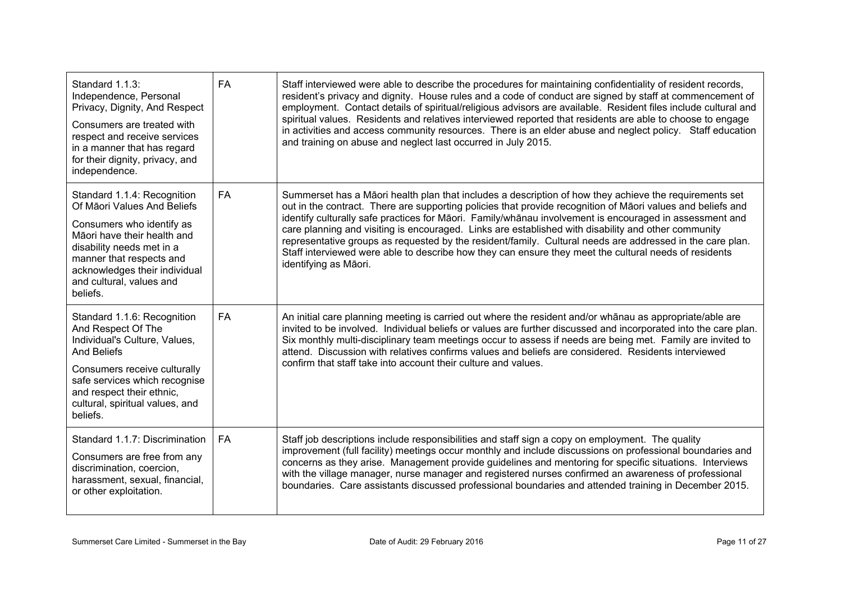| Standard 1.1.3:<br>Independence, Personal<br>Privacy, Dignity, And Respect<br>Consumers are treated with<br>respect and receive services<br>in a manner that has regard<br>for their dignity, privacy, and<br>independence.                              | <b>FA</b> | Staff interviewed were able to describe the procedures for maintaining confidentiality of resident records,<br>resident's privacy and dignity. House rules and a code of conduct are signed by staff at commencement of<br>employment. Contact details of spiritual/religious advisors are available. Resident files include cultural and<br>spiritual values. Residents and relatives interviewed reported that residents are able to choose to engage<br>in activities and access community resources. There is an elder abuse and neglect policy. Staff education<br>and training on abuse and neglect last occurred in July 2015.                                                  |
|----------------------------------------------------------------------------------------------------------------------------------------------------------------------------------------------------------------------------------------------------------|-----------|----------------------------------------------------------------------------------------------------------------------------------------------------------------------------------------------------------------------------------------------------------------------------------------------------------------------------------------------------------------------------------------------------------------------------------------------------------------------------------------------------------------------------------------------------------------------------------------------------------------------------------------------------------------------------------------|
| Standard 1.1.4: Recognition<br>Of Māori Values And Beliefs<br>Consumers who identify as<br>Māori have their health and<br>disability needs met in a<br>manner that respects and<br>acknowledges their individual<br>and cultural, values and<br>beliefs. | <b>FA</b> | Summerset has a Māori health plan that includes a description of how they achieve the requirements set<br>out in the contract. There are supporting policies that provide recognition of Māori values and beliefs and<br>identify culturally safe practices for Māori. Family/whānau involvement is encouraged in assessment and<br>care planning and visiting is encouraged. Links are established with disability and other community<br>representative groups as requested by the resident/family. Cultural needs are addressed in the care plan.<br>Staff interviewed were able to describe how they can ensure they meet the cultural needs of residents<br>identifying as Māori. |
| Standard 1.1.6: Recognition<br>And Respect Of The<br>Individual's Culture, Values,<br><b>And Beliefs</b><br>Consumers receive culturally<br>safe services which recognise<br>and respect their ethnic,<br>cultural, spiritual values, and<br>beliefs.    | FA        | An initial care planning meeting is carried out where the resident and/or whanau as appropriate/able are<br>invited to be involved. Individual beliefs or values are further discussed and incorporated into the care plan.<br>Six monthly multi-disciplinary team meetings occur to assess if needs are being met. Family are invited to<br>attend. Discussion with relatives confirms values and beliefs are considered. Residents interviewed<br>confirm that staff take into account their culture and values.                                                                                                                                                                     |
| Standard 1.1.7: Discrimination<br>Consumers are free from any<br>discrimination, coercion,<br>harassment, sexual, financial,<br>or other exploitation.                                                                                                   | <b>FA</b> | Staff job descriptions include responsibilities and staff sign a copy on employment. The quality<br>improvement (full facility) meetings occur monthly and include discussions on professional boundaries and<br>concerns as they arise. Management provide guidelines and mentoring for specific situations. Interviews<br>with the village manager, nurse manager and registered nurses confirmed an awareness of professional<br>boundaries. Care assistants discussed professional boundaries and attended training in December 2015.                                                                                                                                              |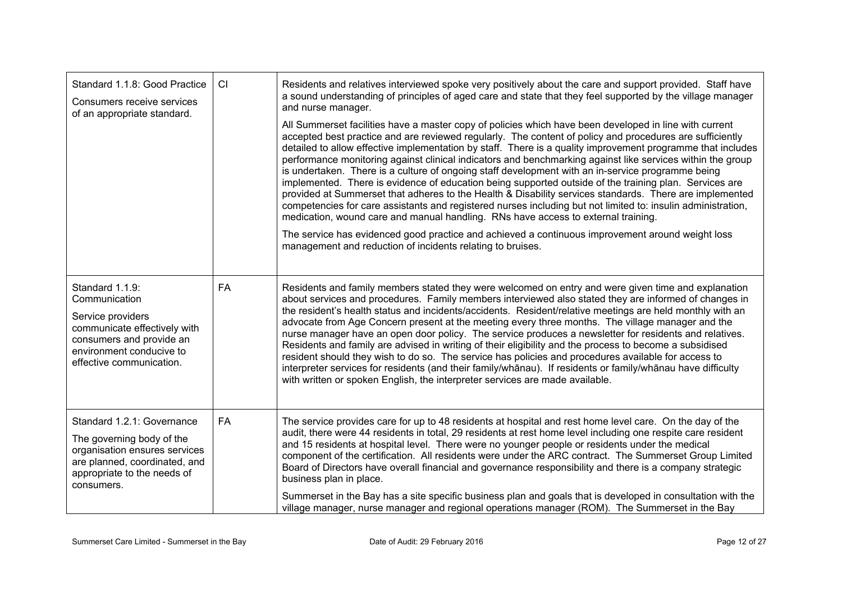| Standard 1.1.8: Good Practice<br>Consumers receive services<br>of an appropriate standard.                                                                                | CI        | Residents and relatives interviewed spoke very positively about the care and support provided. Staff have<br>a sound understanding of principles of aged care and state that they feel supported by the village manager<br>and nurse manager.<br>All Summerset facilities have a master copy of policies which have been developed in line with current<br>accepted best practice and are reviewed regularly. The content of policy and procedures are sufficiently<br>detailed to allow effective implementation by staff. There is a quality improvement programme that includes<br>performance monitoring against clinical indicators and benchmarking against like services within the group<br>is undertaken. There is a culture of ongoing staff development with an in-service programme being<br>implemented. There is evidence of education being supported outside of the training plan. Services are<br>provided at Summerset that adheres to the Health & Disability services standards. There are implemented<br>competencies for care assistants and registered nurses including but not limited to: insulin administration,<br>medication, wound care and manual handling. RNs have access to external training.<br>The service has evidenced good practice and achieved a continuous improvement around weight loss<br>management and reduction of incidents relating to bruises. |
|---------------------------------------------------------------------------------------------------------------------------------------------------------------------------|-----------|---------------------------------------------------------------------------------------------------------------------------------------------------------------------------------------------------------------------------------------------------------------------------------------------------------------------------------------------------------------------------------------------------------------------------------------------------------------------------------------------------------------------------------------------------------------------------------------------------------------------------------------------------------------------------------------------------------------------------------------------------------------------------------------------------------------------------------------------------------------------------------------------------------------------------------------------------------------------------------------------------------------------------------------------------------------------------------------------------------------------------------------------------------------------------------------------------------------------------------------------------------------------------------------------------------------------------------------------------------------------------------------------------|
| Standard 1.1.9:<br>Communication<br>Service providers<br>communicate effectively with<br>consumers and provide an<br>environment conducive to<br>effective communication. | <b>FA</b> | Residents and family members stated they were welcomed on entry and were given time and explanation<br>about services and procedures. Family members interviewed also stated they are informed of changes in<br>the resident's health status and incidents/accidents. Resident/relative meetings are held monthly with an<br>advocate from Age Concern present at the meeting every three months. The village manager and the<br>nurse manager have an open door policy. The service produces a newsletter for residents and relatives.<br>Residents and family are advised in writing of their eligibility and the process to become a subsidised<br>resident should they wish to do so. The service has policies and procedures available for access to<br>interpreter services for residents (and their family/whānau). If residents or family/whānau have difficulty<br>with written or spoken English, the interpreter services are made available.                                                                                                                                                                                                                                                                                                                                                                                                                                          |
| Standard 1.2.1: Governance<br>The governing body of the<br>organisation ensures services<br>are planned, coordinated, and<br>appropriate to the needs of<br>consumers.    | <b>FA</b> | The service provides care for up to 48 residents at hospital and rest home level care. On the day of the<br>audit, there were 44 residents in total, 29 residents at rest home level including one respite care resident<br>and 15 residents at hospital level. There were no younger people or residents under the medical<br>component of the certification. All residents were under the ARC contract. The Summerset Group Limited<br>Board of Directors have overall financial and governance responsibility and there is a company strategic<br>business plan in place.<br>Summerset in the Bay has a site specific business plan and goals that is developed in consultation with the<br>village manager, nurse manager and regional operations manager (ROM). The Summerset in the Bay                                                                                                                                                                                                                                                                                                                                                                                                                                                                                                                                                                                                     |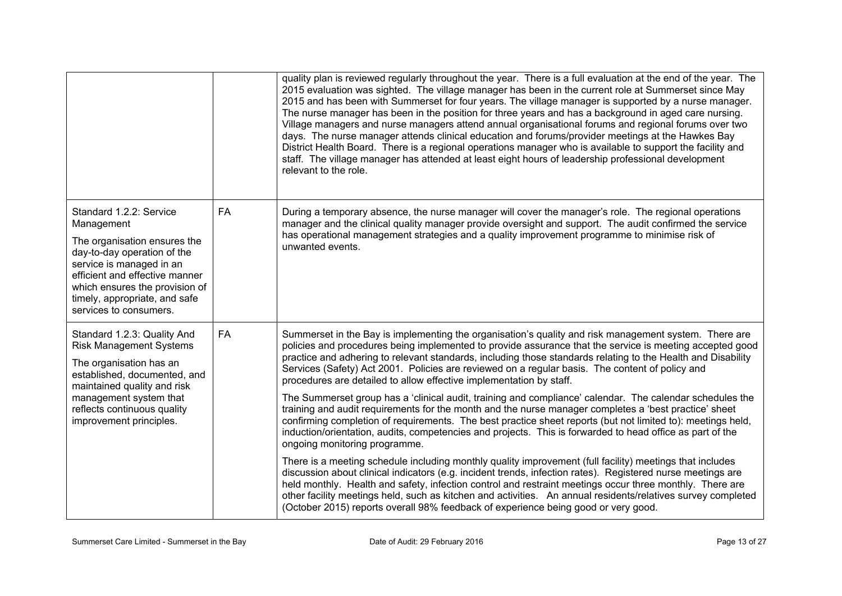|                                                                                                                                                                                                                                                                 |           | quality plan is reviewed regularly throughout the year. There is a full evaluation at the end of the year. The<br>2015 evaluation was sighted. The village manager has been in the current role at Summerset since May<br>2015 and has been with Summerset for four years. The village manager is supported by a nurse manager.<br>The nurse manager has been in the position for three years and has a background in aged care nursing.<br>Village managers and nurse managers attend annual organisational forums and regional forums over two<br>days. The nurse manager attends clinical education and forums/provider meetings at the Hawkes Bay<br>District Health Board. There is a regional operations manager who is available to support the facility and<br>staff. The village manager has attended at least eight hours of leadership professional development<br>relevant to the role.                                                                                                                                                                                                                                                                                                                                                                                                                                                                                                                                                                                                                                        |
|-----------------------------------------------------------------------------------------------------------------------------------------------------------------------------------------------------------------------------------------------------------------|-----------|--------------------------------------------------------------------------------------------------------------------------------------------------------------------------------------------------------------------------------------------------------------------------------------------------------------------------------------------------------------------------------------------------------------------------------------------------------------------------------------------------------------------------------------------------------------------------------------------------------------------------------------------------------------------------------------------------------------------------------------------------------------------------------------------------------------------------------------------------------------------------------------------------------------------------------------------------------------------------------------------------------------------------------------------------------------------------------------------------------------------------------------------------------------------------------------------------------------------------------------------------------------------------------------------------------------------------------------------------------------------------------------------------------------------------------------------------------------------------------------------------------------------------------------------|
| Standard 1.2.2: Service<br>Management<br>The organisation ensures the<br>day-to-day operation of the<br>service is managed in an<br>efficient and effective manner<br>which ensures the provision of<br>timely, appropriate, and safe<br>services to consumers. | <b>FA</b> | During a temporary absence, the nurse manager will cover the manager's role. The regional operations<br>manager and the clinical quality manager provide oversight and support. The audit confirmed the service<br>has operational management strategies and a quality improvement programme to minimise risk of<br>unwanted events.                                                                                                                                                                                                                                                                                                                                                                                                                                                                                                                                                                                                                                                                                                                                                                                                                                                                                                                                                                                                                                                                                                                                                                                                       |
| Standard 1.2.3: Quality And<br><b>Risk Management Systems</b><br>The organisation has an<br>established, documented, and<br>maintained quality and risk<br>management system that<br>reflects continuous quality<br>improvement principles.                     | <b>FA</b> | Summerset in the Bay is implementing the organisation's quality and risk management system. There are<br>policies and procedures being implemented to provide assurance that the service is meeting accepted good<br>practice and adhering to relevant standards, including those standards relating to the Health and Disability<br>Services (Safety) Act 2001. Policies are reviewed on a regular basis. The content of policy and<br>procedures are detailed to allow effective implementation by staff.<br>The Summerset group has a 'clinical audit, training and compliance' calendar. The calendar schedules the<br>training and audit requirements for the month and the nurse manager completes a 'best practice' sheet<br>confirming completion of requirements. The best practice sheet reports (but not limited to): meetings held,<br>induction/orientation, audits, competencies and projects. This is forwarded to head office as part of the<br>ongoing monitoring programme.<br>There is a meeting schedule including monthly quality improvement (full facility) meetings that includes<br>discussion about clinical indicators (e.g. incident trends, infection rates). Registered nurse meetings are<br>held monthly. Health and safety, infection control and restraint meetings occur three monthly. There are<br>other facility meetings held, such as kitchen and activities. An annual residents/relatives survey completed<br>(October 2015) reports overall 98% feedback of experience being good or very good. |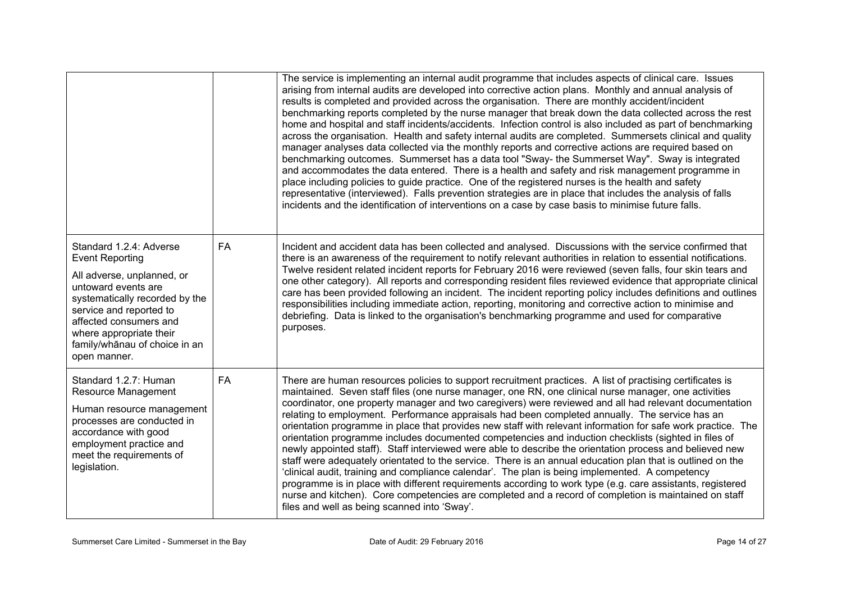|                                                                                                                                                                                                                                                                           |           | The service is implementing an internal audit programme that includes aspects of clinical care. Issues<br>arising from internal audits are developed into corrective action plans. Monthly and annual analysis of<br>results is completed and provided across the organisation. There are monthly accident/incident<br>benchmarking reports completed by the nurse manager that break down the data collected across the rest<br>home and hospital and staff incidents/accidents. Infection control is also included as part of benchmarking<br>across the organisation. Health and safety internal audits are completed. Summersets clinical and quality<br>manager analyses data collected via the monthly reports and corrective actions are required based on<br>benchmarking outcomes. Summerset has a data tool "Sway- the Summerset Way". Sway is integrated<br>and accommodates the data entered. There is a health and safety and risk management programme in<br>place including policies to guide practice. One of the registered nurses is the health and safety<br>representative (interviewed). Falls prevention strategies are in place that includes the analysis of falls<br>incidents and the identification of interventions on a case by case basis to minimise future falls. |
|---------------------------------------------------------------------------------------------------------------------------------------------------------------------------------------------------------------------------------------------------------------------------|-----------|---------------------------------------------------------------------------------------------------------------------------------------------------------------------------------------------------------------------------------------------------------------------------------------------------------------------------------------------------------------------------------------------------------------------------------------------------------------------------------------------------------------------------------------------------------------------------------------------------------------------------------------------------------------------------------------------------------------------------------------------------------------------------------------------------------------------------------------------------------------------------------------------------------------------------------------------------------------------------------------------------------------------------------------------------------------------------------------------------------------------------------------------------------------------------------------------------------------------------------------------------------------------------------------------------|
| Standard 1.2.4: Adverse<br><b>Event Reporting</b><br>All adverse, unplanned, or<br>untoward events are<br>systematically recorded by the<br>service and reported to<br>affected consumers and<br>where appropriate their<br>family/whānau of choice in an<br>open manner. | <b>FA</b> | Incident and accident data has been collected and analysed. Discussions with the service confirmed that<br>there is an awareness of the requirement to notify relevant authorities in relation to essential notifications.<br>Twelve resident related incident reports for February 2016 were reviewed (seven falls, four skin tears and<br>one other category). All reports and corresponding resident files reviewed evidence that appropriate clinical<br>care has been provided following an incident. The incident reporting policy includes definitions and outlines<br>responsibilities including immediate action, reporting, monitoring and corrective action to minimise and<br>debriefing. Data is linked to the organisation's benchmarking programme and used for comparative<br>purposes.                                                                                                                                                                                                                                                                                                                                                                                                                                                                                           |
| Standard 1.2.7: Human<br><b>Resource Management</b><br>Human resource management<br>processes are conducted in<br>accordance with good<br>employment practice and<br>meet the requirements of<br>legislation.                                                             | <b>FA</b> | There are human resources policies to support recruitment practices. A list of practising certificates is<br>maintained. Seven staff files (one nurse manager, one RN, one clinical nurse manager, one activities<br>coordinator, one property manager and two caregivers) were reviewed and all had relevant documentation<br>relating to employment. Performance appraisals had been completed annually. The service has an<br>orientation programme in place that provides new staff with relevant information for safe work practice. The<br>orientation programme includes documented competencies and induction checklists (sighted in files of<br>newly appointed staff). Staff interviewed were able to describe the orientation process and believed new<br>staff were adequately orientated to the service. There is an annual education plan that is outlined on the<br>'clinical audit, training and compliance calendar'. The plan is being implemented. A competency<br>programme is in place with different requirements according to work type (e.g. care assistants, registered<br>nurse and kitchen). Core competencies are completed and a record of completion is maintained on staff<br>files and well as being scanned into 'Sway'.                                         |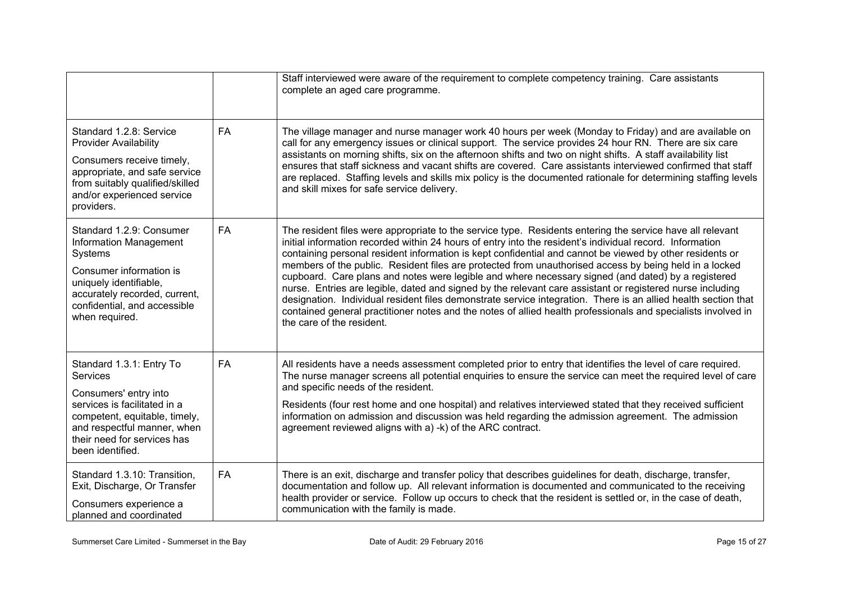|                                                                                                                                                                                                                         |           | Staff interviewed were aware of the requirement to complete competency training. Care assistants<br>complete an aged care programme.                                                                                                                                                                                                                                                                                                                                                                                                                                                                                                                                                                                                                                                                                                                                                                                           |
|-------------------------------------------------------------------------------------------------------------------------------------------------------------------------------------------------------------------------|-----------|--------------------------------------------------------------------------------------------------------------------------------------------------------------------------------------------------------------------------------------------------------------------------------------------------------------------------------------------------------------------------------------------------------------------------------------------------------------------------------------------------------------------------------------------------------------------------------------------------------------------------------------------------------------------------------------------------------------------------------------------------------------------------------------------------------------------------------------------------------------------------------------------------------------------------------|
| Standard 1.2.8: Service<br><b>Provider Availability</b><br>Consumers receive timely,<br>appropriate, and safe service<br>from suitably qualified/skilled<br>and/or experienced service<br>providers.                    | FA        | The village manager and nurse manager work 40 hours per week (Monday to Friday) and are available on<br>call for any emergency issues or clinical support. The service provides 24 hour RN. There are six care<br>assistants on morning shifts, six on the afternoon shifts and two on night shifts. A staff availability list<br>ensures that staff sickness and vacant shifts are covered. Care assistants interviewed confirmed that staff<br>are replaced. Staffing levels and skills mix policy is the documented rationale for determining staffing levels<br>and skill mixes for safe service delivery.                                                                                                                                                                                                                                                                                                                 |
| Standard 1.2.9: Consumer<br>Information Management<br>Systems<br>Consumer information is<br>uniquely identifiable,<br>accurately recorded, current,<br>confidential, and accessible<br>when required.                   | <b>FA</b> | The resident files were appropriate to the service type. Residents entering the service have all relevant<br>initial information recorded within 24 hours of entry into the resident's individual record. Information<br>containing personal resident information is kept confidential and cannot be viewed by other residents or<br>members of the public. Resident files are protected from unauthorised access by being held in a locked<br>cupboard. Care plans and notes were legible and where necessary signed (and dated) by a registered<br>nurse. Entries are legible, dated and signed by the relevant care assistant or registered nurse including<br>designation. Individual resident files demonstrate service integration. There is an allied health section that<br>contained general practitioner notes and the notes of allied health professionals and specialists involved in<br>the care of the resident. |
| Standard 1.3.1: Entry To<br><b>Services</b><br>Consumers' entry into<br>services is facilitated in a<br>competent, equitable, timely,<br>and respectful manner, when<br>their need for services has<br>been identified. | FA        | All residents have a needs assessment completed prior to entry that identifies the level of care required.<br>The nurse manager screens all potential enquiries to ensure the service can meet the required level of care<br>and specific needs of the resident.<br>Residents (four rest home and one hospital) and relatives interviewed stated that they received sufficient<br>information on admission and discussion was held regarding the admission agreement. The admission<br>agreement reviewed aligns with a) -k) of the ARC contract.                                                                                                                                                                                                                                                                                                                                                                              |
| Standard 1.3.10: Transition,<br>Exit, Discharge, Or Transfer<br>Consumers experience a<br>planned and coordinated                                                                                                       | FA        | There is an exit, discharge and transfer policy that describes guidelines for death, discharge, transfer,<br>documentation and follow up. All relevant information is documented and communicated to the receiving<br>health provider or service. Follow up occurs to check that the resident is settled or, in the case of death,<br>communication with the family is made.                                                                                                                                                                                                                                                                                                                                                                                                                                                                                                                                                   |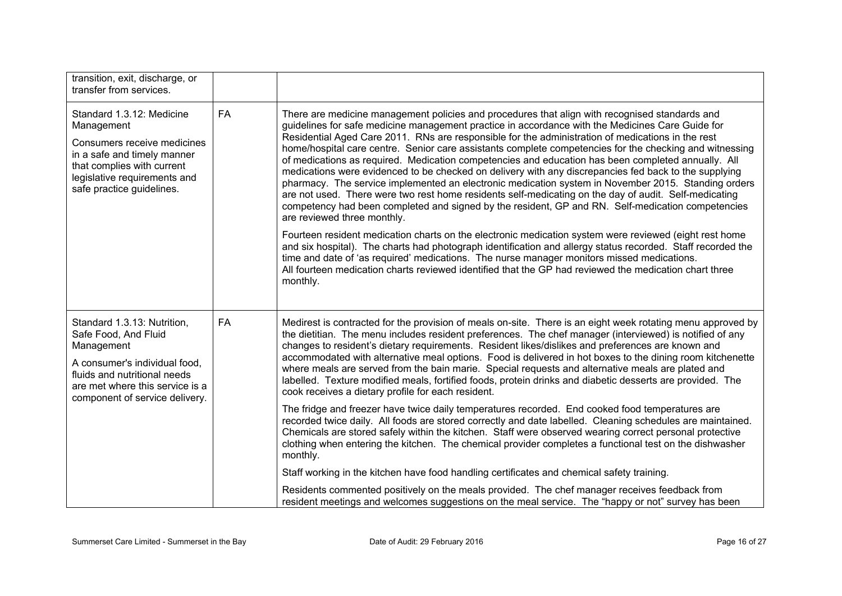| transition, exit, discharge, or<br>transfer from services.                                                                                                                                              |    |                                                                                                                                                                                                                                                                                                                                                                                                                                                                                                                                                                                                                                                                                                                                                                                                                                                                                                                                                                                                                                                                                                 |
|---------------------------------------------------------------------------------------------------------------------------------------------------------------------------------------------------------|----|-------------------------------------------------------------------------------------------------------------------------------------------------------------------------------------------------------------------------------------------------------------------------------------------------------------------------------------------------------------------------------------------------------------------------------------------------------------------------------------------------------------------------------------------------------------------------------------------------------------------------------------------------------------------------------------------------------------------------------------------------------------------------------------------------------------------------------------------------------------------------------------------------------------------------------------------------------------------------------------------------------------------------------------------------------------------------------------------------|
| Standard 1.3.12: Medicine<br>Management<br>Consumers receive medicines<br>in a safe and timely manner<br>that complies with current<br>legislative requirements and<br>safe practice guidelines.        | FA | There are medicine management policies and procedures that align with recognised standards and<br>guidelines for safe medicine management practice in accordance with the Medicines Care Guide for<br>Residential Aged Care 2011. RNs are responsible for the administration of medications in the rest<br>home/hospital care centre. Senior care assistants complete competencies for the checking and witnessing<br>of medications as required. Medication competencies and education has been completed annually. All<br>medications were evidenced to be checked on delivery with any discrepancies fed back to the supplying<br>pharmacy. The service implemented an electronic medication system in November 2015. Standing orders<br>are not used. There were two rest home residents self-medicating on the day of audit. Self-medicating<br>competency had been completed and signed by the resident, GP and RN. Self-medication competencies<br>are reviewed three monthly.<br>Fourteen resident medication charts on the electronic medication system were reviewed (eight rest home |
|                                                                                                                                                                                                         |    | and six hospital). The charts had photograph identification and allergy status recorded. Staff recorded the<br>time and date of 'as required' medications. The nurse manager monitors missed medications.<br>All fourteen medication charts reviewed identified that the GP had reviewed the medication chart three<br>monthly.                                                                                                                                                                                                                                                                                                                                                                                                                                                                                                                                                                                                                                                                                                                                                                 |
| Standard 1.3.13: Nutrition,<br>Safe Food, And Fluid<br>Management<br>A consumer's individual food,<br>fluids and nutritional needs<br>are met where this service is a<br>component of service delivery. | FA | Medirest is contracted for the provision of meals on-site. There is an eight week rotating menu approved by<br>the dietitian. The menu includes resident preferences. The chef manager (interviewed) is notified of any<br>changes to resident's dietary requirements. Resident likes/dislikes and preferences are known and<br>accommodated with alternative meal options. Food is delivered in hot boxes to the dining room kitchenette<br>where meals are served from the bain marie. Special requests and alternative meals are plated and<br>labelled. Texture modified meals, fortified foods, protein drinks and diabetic desserts are provided. The<br>cook receives a dietary profile for each resident.                                                                                                                                                                                                                                                                                                                                                                               |
|                                                                                                                                                                                                         |    | The fridge and freezer have twice daily temperatures recorded. End cooked food temperatures are<br>recorded twice daily. All foods are stored correctly and date labelled. Cleaning schedules are maintained.<br>Chemicals are stored safely within the kitchen. Staff were observed wearing correct personal protective<br>clothing when entering the kitchen. The chemical provider completes a functional test on the dishwasher<br>monthly.                                                                                                                                                                                                                                                                                                                                                                                                                                                                                                                                                                                                                                                 |
|                                                                                                                                                                                                         |    | Staff working in the kitchen have food handling certificates and chemical safety training.                                                                                                                                                                                                                                                                                                                                                                                                                                                                                                                                                                                                                                                                                                                                                                                                                                                                                                                                                                                                      |
|                                                                                                                                                                                                         |    | Residents commented positively on the meals provided. The chef manager receives feedback from<br>resident meetings and welcomes suggestions on the meal service. The "happy or not" survey has been                                                                                                                                                                                                                                                                                                                                                                                                                                                                                                                                                                                                                                                                                                                                                                                                                                                                                             |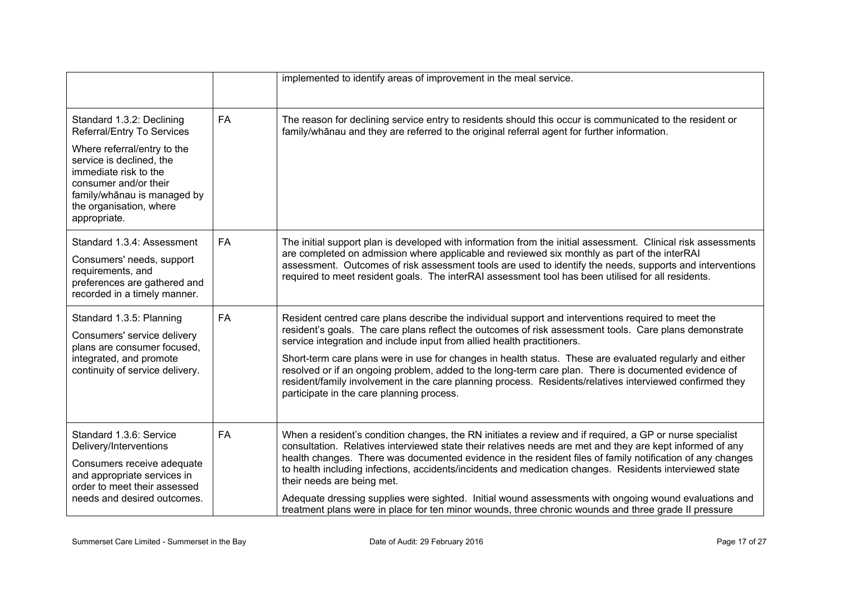|                                                                                                                                                                                                                                                |           | implemented to identify areas of improvement in the meal service.                                                                                                                                                                                                                                                                                                                                                                                                                                                                                                                                                                                                                            |
|------------------------------------------------------------------------------------------------------------------------------------------------------------------------------------------------------------------------------------------------|-----------|----------------------------------------------------------------------------------------------------------------------------------------------------------------------------------------------------------------------------------------------------------------------------------------------------------------------------------------------------------------------------------------------------------------------------------------------------------------------------------------------------------------------------------------------------------------------------------------------------------------------------------------------------------------------------------------------|
| Standard 1.3.2: Declining<br>Referral/Entry To Services<br>Where referral/entry to the<br>service is declined, the<br>immediate risk to the<br>consumer and/or their<br>family/whānau is managed by<br>the organisation, where<br>appropriate. | <b>FA</b> | The reason for declining service entry to residents should this occur is communicated to the resident or<br>family/whanau and they are referred to the original referral agent for further information.                                                                                                                                                                                                                                                                                                                                                                                                                                                                                      |
| Standard 1.3.4: Assessment<br>Consumers' needs, support<br>requirements, and<br>preferences are gathered and<br>recorded in a timely manner.                                                                                                   | <b>FA</b> | The initial support plan is developed with information from the initial assessment. Clinical risk assessments<br>are completed on admission where applicable and reviewed six monthly as part of the interRAI<br>assessment. Outcomes of risk assessment tools are used to identify the needs, supports and interventions<br>required to meet resident goals. The interRAI assessment tool has been utilised for all residents.                                                                                                                                                                                                                                                              |
| Standard 1.3.5: Planning<br>Consumers' service delivery<br>plans are consumer focused.<br>integrated, and promote<br>continuity of service delivery.                                                                                           | <b>FA</b> | Resident centred care plans describe the individual support and interventions required to meet the<br>resident's goals. The care plans reflect the outcomes of risk assessment tools. Care plans demonstrate<br>service integration and include input from allied health practitioners.<br>Short-term care plans were in use for changes in health status. These are evaluated regularly and either<br>resolved or if an ongoing problem, added to the long-term care plan. There is documented evidence of<br>resident/family involvement in the care planning process. Residents/relatives interviewed confirmed they<br>participate in the care planning process.                         |
| Standard 1.3.6: Service<br>Delivery/Interventions<br>Consumers receive adequate<br>and appropriate services in<br>order to meet their assessed<br>needs and desired outcomes.                                                                  | <b>FA</b> | When a resident's condition changes, the RN initiates a review and if required, a GP or nurse specialist<br>consultation. Relatives interviewed state their relatives needs are met and they are kept informed of any<br>health changes. There was documented evidence in the resident files of family notification of any changes<br>to health including infections, accidents/incidents and medication changes. Residents interviewed state<br>their needs are being met.<br>Adequate dressing supplies were sighted. Initial wound assessments with ongoing wound evaluations and<br>treatment plans were in place for ten minor wounds, three chronic wounds and three grade II pressure |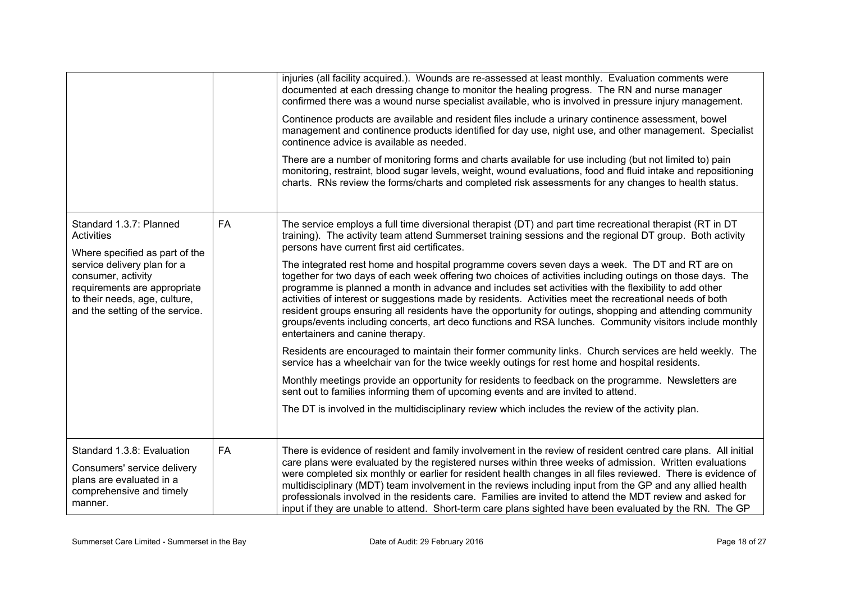|                                                                                                                                                       |           | injuries (all facility acquired.). Wounds are re-assessed at least monthly. Evaluation comments were<br>documented at each dressing change to monitor the healing progress. The RN and nurse manager<br>confirmed there was a wound nurse specialist available, who is involved in pressure injury management.                                                                                                                                                                                                                                                                                                                                                                                |
|-------------------------------------------------------------------------------------------------------------------------------------------------------|-----------|-----------------------------------------------------------------------------------------------------------------------------------------------------------------------------------------------------------------------------------------------------------------------------------------------------------------------------------------------------------------------------------------------------------------------------------------------------------------------------------------------------------------------------------------------------------------------------------------------------------------------------------------------------------------------------------------------|
|                                                                                                                                                       |           | Continence products are available and resident files include a urinary continence assessment, bowel<br>management and continence products identified for day use, night use, and other management. Specialist<br>continence advice is available as needed.                                                                                                                                                                                                                                                                                                                                                                                                                                    |
|                                                                                                                                                       |           | There are a number of monitoring forms and charts available for use including (but not limited to) pain<br>monitoring, restraint, blood sugar levels, weight, wound evaluations, food and fluid intake and repositioning<br>charts. RNs review the forms/charts and completed risk assessments for any changes to health status.                                                                                                                                                                                                                                                                                                                                                              |
| Standard 1.3.7: Planned<br><b>Activities</b><br>Where specified as part of the                                                                        | FA        | The service employs a full time diversional therapist (DT) and part time recreational therapist (RT in DT<br>training). The activity team attend Summerset training sessions and the regional DT group. Both activity<br>persons have current first aid certificates.                                                                                                                                                                                                                                                                                                                                                                                                                         |
| service delivery plan for a<br>consumer, activity<br>requirements are appropriate<br>to their needs, age, culture,<br>and the setting of the service. |           | The integrated rest home and hospital programme covers seven days a week. The DT and RT are on<br>together for two days of each week offering two choices of activities including outings on those days. The<br>programme is planned a month in advance and includes set activities with the flexibility to add other<br>activities of interest or suggestions made by residents. Activities meet the recreational needs of both<br>resident groups ensuring all residents have the opportunity for outings, shopping and attending community<br>groups/events including concerts, art deco functions and RSA lunches. Community visitors include monthly<br>entertainers and canine therapy. |
|                                                                                                                                                       |           | Residents are encouraged to maintain their former community links. Church services are held weekly. The<br>service has a wheelchair van for the twice weekly outings for rest home and hospital residents.                                                                                                                                                                                                                                                                                                                                                                                                                                                                                    |
|                                                                                                                                                       |           | Monthly meetings provide an opportunity for residents to feedback on the programme. Newsletters are<br>sent out to families informing them of upcoming events and are invited to attend.                                                                                                                                                                                                                                                                                                                                                                                                                                                                                                      |
|                                                                                                                                                       |           | The DT is involved in the multidisciplinary review which includes the review of the activity plan.                                                                                                                                                                                                                                                                                                                                                                                                                                                                                                                                                                                            |
| Standard 1.3.8: Evaluation                                                                                                                            | <b>FA</b> | There is evidence of resident and family involvement in the review of resident centred care plans. All initial                                                                                                                                                                                                                                                                                                                                                                                                                                                                                                                                                                                |
| Consumers' service delivery<br>plans are evaluated in a<br>comprehensive and timely<br>manner.                                                        |           | care plans were evaluated by the registered nurses within three weeks of admission. Written evaluations<br>were completed six monthly or earlier for resident health changes in all files reviewed. There is evidence of<br>multidisciplinary (MDT) team involvement in the reviews including input from the GP and any allied health<br>professionals involved in the residents care. Families are invited to attend the MDT review and asked for<br>input if they are unable to attend. Short-term care plans sighted have been evaluated by the RN. The GP                                                                                                                                 |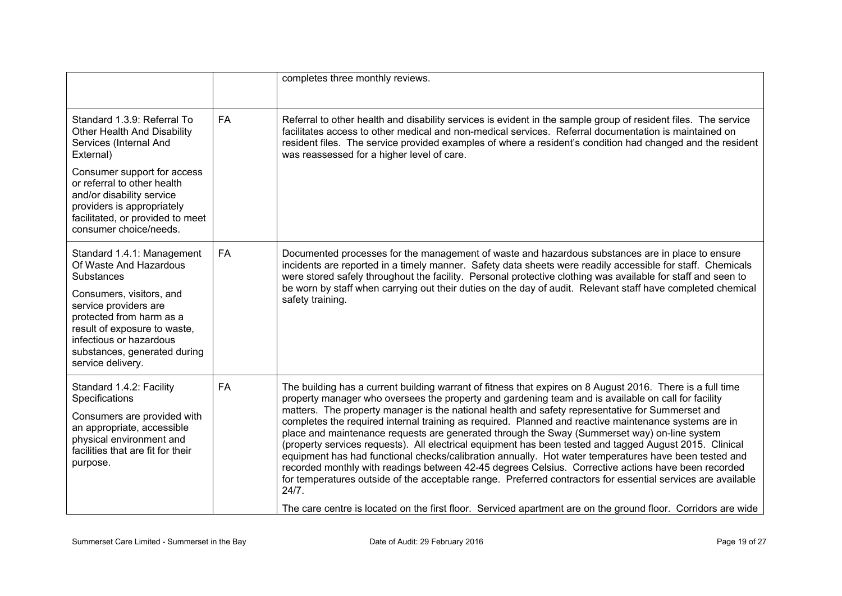|                                                                                                                                                                                                                                                                            |           | completes three monthly reviews.                                                                                                                                                                                                                                                                                                                                                                                                                                                                                                                                                                                                                                                                                                                                                                                                                                                                                                                                                                                                                                                                    |
|----------------------------------------------------------------------------------------------------------------------------------------------------------------------------------------------------------------------------------------------------------------------------|-----------|-----------------------------------------------------------------------------------------------------------------------------------------------------------------------------------------------------------------------------------------------------------------------------------------------------------------------------------------------------------------------------------------------------------------------------------------------------------------------------------------------------------------------------------------------------------------------------------------------------------------------------------------------------------------------------------------------------------------------------------------------------------------------------------------------------------------------------------------------------------------------------------------------------------------------------------------------------------------------------------------------------------------------------------------------------------------------------------------------------|
| Standard 1.3.9: Referral To<br>Other Health And Disability<br>Services (Internal And<br>External)                                                                                                                                                                          | <b>FA</b> | Referral to other health and disability services is evident in the sample group of resident files. The service<br>facilitates access to other medical and non-medical services. Referral documentation is maintained on<br>resident files. The service provided examples of where a resident's condition had changed and the resident<br>was reassessed for a higher level of care.                                                                                                                                                                                                                                                                                                                                                                                                                                                                                                                                                                                                                                                                                                                 |
| Consumer support for access<br>or referral to other health<br>and/or disability service<br>providers is appropriately<br>facilitated, or provided to meet<br>consumer choice/needs.                                                                                        |           |                                                                                                                                                                                                                                                                                                                                                                                                                                                                                                                                                                                                                                                                                                                                                                                                                                                                                                                                                                                                                                                                                                     |
| Standard 1.4.1: Management<br>Of Waste And Hazardous<br><b>Substances</b><br>Consumers, visitors, and<br>service providers are<br>protected from harm as a<br>result of exposure to waste,<br>infectious or hazardous<br>substances, generated during<br>service delivery. | <b>FA</b> | Documented processes for the management of waste and hazardous substances are in place to ensure<br>incidents are reported in a timely manner. Safety data sheets were readily accessible for staff. Chemicals<br>were stored safely throughout the facility. Personal protective clothing was available for staff and seen to<br>be worn by staff when carrying out their duties on the day of audit. Relevant staff have completed chemical<br>safety training.                                                                                                                                                                                                                                                                                                                                                                                                                                                                                                                                                                                                                                   |
| Standard 1.4.2: Facility<br>Specifications<br>Consumers are provided with<br>an appropriate, accessible<br>physical environment and<br>facilities that are fit for their<br>purpose.                                                                                       | <b>FA</b> | The building has a current building warrant of fitness that expires on 8 August 2016. There is a full time<br>property manager who oversees the property and gardening team and is available on call for facility<br>matters. The property manager is the national health and safety representative for Summerset and<br>completes the required internal training as required. Planned and reactive maintenance systems are in<br>place and maintenance requests are generated through the Sway (Summerset way) on-line system<br>(property services requests). All electrical equipment has been tested and tagged August 2015. Clinical<br>equipment has had functional checks/calibration annually. Hot water temperatures have been tested and<br>recorded monthly with readings between 42-45 degrees Celsius. Corrective actions have been recorded<br>for temperatures outside of the acceptable range. Preferred contractors for essential services are available<br>24/7.<br>The care centre is located on the first floor. Serviced apartment are on the ground floor. Corridors are wide |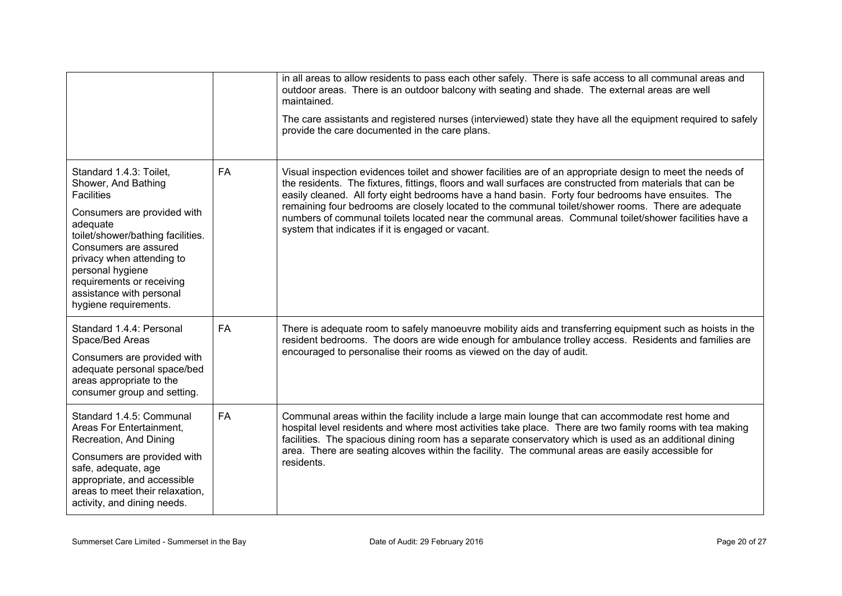|                                                                                                                                                                                                                                                                                                                 |           | in all areas to allow residents to pass each other safely. There is safe access to all communal areas and<br>outdoor areas. There is an outdoor balcony with seating and shade. The external areas are well<br>maintained.<br>The care assistants and registered nurses (interviewed) state they have all the equipment required to safely<br>provide the care documented in the care plans.                                                                                                                                                                                                        |
|-----------------------------------------------------------------------------------------------------------------------------------------------------------------------------------------------------------------------------------------------------------------------------------------------------------------|-----------|-----------------------------------------------------------------------------------------------------------------------------------------------------------------------------------------------------------------------------------------------------------------------------------------------------------------------------------------------------------------------------------------------------------------------------------------------------------------------------------------------------------------------------------------------------------------------------------------------------|
| Standard 1.4.3: Toilet,<br>Shower, And Bathing<br><b>Facilities</b><br>Consumers are provided with<br>adequate<br>toilet/shower/bathing facilities.<br>Consumers are assured<br>privacy when attending to<br>personal hygiene<br>requirements or receiving<br>assistance with personal<br>hygiene requirements. | <b>FA</b> | Visual inspection evidences toilet and shower facilities are of an appropriate design to meet the needs of<br>the residents. The fixtures, fittings, floors and wall surfaces are constructed from materials that can be<br>easily cleaned. All forty eight bedrooms have a hand basin. Forty four bedrooms have ensuites. The<br>remaining four bedrooms are closely located to the communal toilet/shower rooms. There are adequate<br>numbers of communal toilets located near the communal areas. Communal toilet/shower facilities have a<br>system that indicates if it is engaged or vacant. |
| Standard 1.4.4: Personal<br>Space/Bed Areas<br>Consumers are provided with<br>adequate personal space/bed<br>areas appropriate to the<br>consumer group and setting.                                                                                                                                            | FA        | There is adequate room to safely manoeuvre mobility aids and transferring equipment such as hoists in the<br>resident bedrooms. The doors are wide enough for ambulance trolley access. Residents and families are<br>encouraged to personalise their rooms as viewed on the day of audit.                                                                                                                                                                                                                                                                                                          |
| Standard 1.4.5: Communal<br>Areas For Entertainment.<br>Recreation, And Dining<br>Consumers are provided with<br>safe, adequate, age<br>appropriate, and accessible<br>areas to meet their relaxation,<br>activity, and dining needs.                                                                           | <b>FA</b> | Communal areas within the facility include a large main lounge that can accommodate rest home and<br>hospital level residents and where most activities take place. There are two family rooms with tea making<br>facilities. The spacious dining room has a separate conservatory which is used as an additional dining<br>area. There are seating alcoves within the facility. The communal areas are easily accessible for<br>residents.                                                                                                                                                         |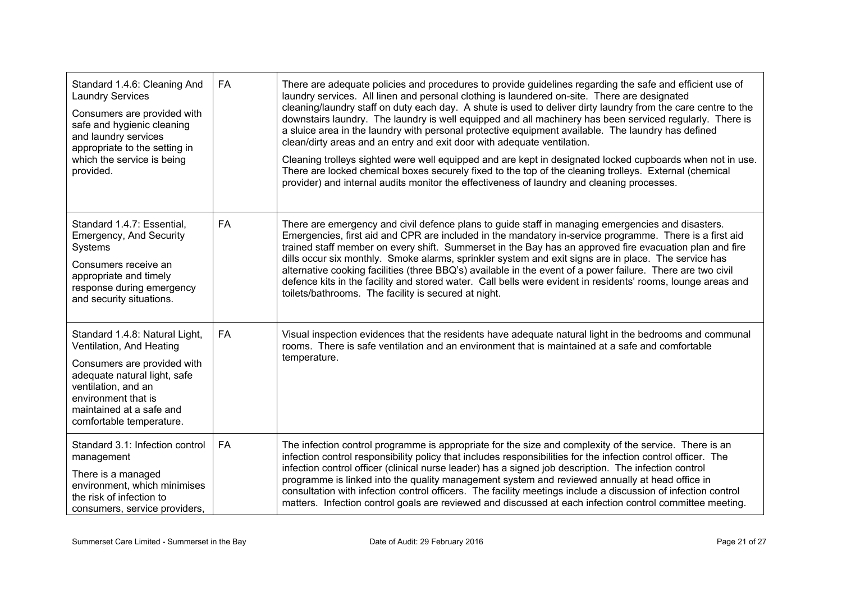| Standard 1.4.6: Cleaning And<br><b>Laundry Services</b><br>Consumers are provided with<br>safe and hygienic cleaning<br>and laundry services<br>appropriate to the setting in<br>which the service is being<br>provided.        | <b>FA</b> | There are adequate policies and procedures to provide guidelines regarding the safe and efficient use of<br>laundry services. All linen and personal clothing is laundered on-site. There are designated<br>cleaning/laundry staff on duty each day. A shute is used to deliver dirty laundry from the care centre to the<br>downstairs laundry. The laundry is well equipped and all machinery has been serviced regularly. There is<br>a sluice area in the laundry with personal protective equipment available. The laundry has defined<br>clean/dirty areas and an entry and exit door with adequate ventilation.<br>Cleaning trolleys sighted were well equipped and are kept in designated locked cupboards when not in use.<br>There are locked chemical boxes securely fixed to the top of the cleaning trolleys. External (chemical<br>provider) and internal audits monitor the effectiveness of laundry and cleaning processes. |
|---------------------------------------------------------------------------------------------------------------------------------------------------------------------------------------------------------------------------------|-----------|---------------------------------------------------------------------------------------------------------------------------------------------------------------------------------------------------------------------------------------------------------------------------------------------------------------------------------------------------------------------------------------------------------------------------------------------------------------------------------------------------------------------------------------------------------------------------------------------------------------------------------------------------------------------------------------------------------------------------------------------------------------------------------------------------------------------------------------------------------------------------------------------------------------------------------------------|
| Standard 1.4.7: Essential,<br>Emergency, And Security<br>Systems<br>Consumers receive an<br>appropriate and timely<br>response during emergency<br>and security situations.                                                     | <b>FA</b> | There are emergency and civil defence plans to guide staff in managing emergencies and disasters.<br>Emergencies, first aid and CPR are included in the mandatory in-service programme. There is a first aid<br>trained staff member on every shift. Summerset in the Bay has an approved fire evacuation plan and fire<br>dills occur six monthly. Smoke alarms, sprinkler system and exit signs are in place. The service has<br>alternative cooking facilities (three BBQ's) available in the event of a power failure. There are two civil<br>defence kits in the facility and stored water. Call bells were evident in residents' rooms, lounge areas and<br>toilets/bathrooms. The facility is secured at night.                                                                                                                                                                                                                      |
| Standard 1.4.8: Natural Light,<br>Ventilation, And Heating<br>Consumers are provided with<br>adequate natural light, safe<br>ventilation, and an<br>environment that is<br>maintained at a safe and<br>comfortable temperature. | <b>FA</b> | Visual inspection evidences that the residents have adequate natural light in the bedrooms and communal<br>rooms. There is safe ventilation and an environment that is maintained at a safe and comfortable<br>temperature.                                                                                                                                                                                                                                                                                                                                                                                                                                                                                                                                                                                                                                                                                                                 |
| Standard 3.1: Infection control<br>management<br>There is a managed<br>environment, which minimises<br>the risk of infection to<br>consumers, service providers,                                                                | <b>FA</b> | The infection control programme is appropriate for the size and complexity of the service. There is an<br>infection control responsibility policy that includes responsibilities for the infection control officer. The<br>infection control officer (clinical nurse leader) has a signed job description. The infection control<br>programme is linked into the quality management system and reviewed annually at head office in<br>consultation with infection control officers. The facility meetings include a discussion of infection control<br>matters. Infection control goals are reviewed and discussed at each infection control committee meeting.                                                                                                                                                                                                                                                                             |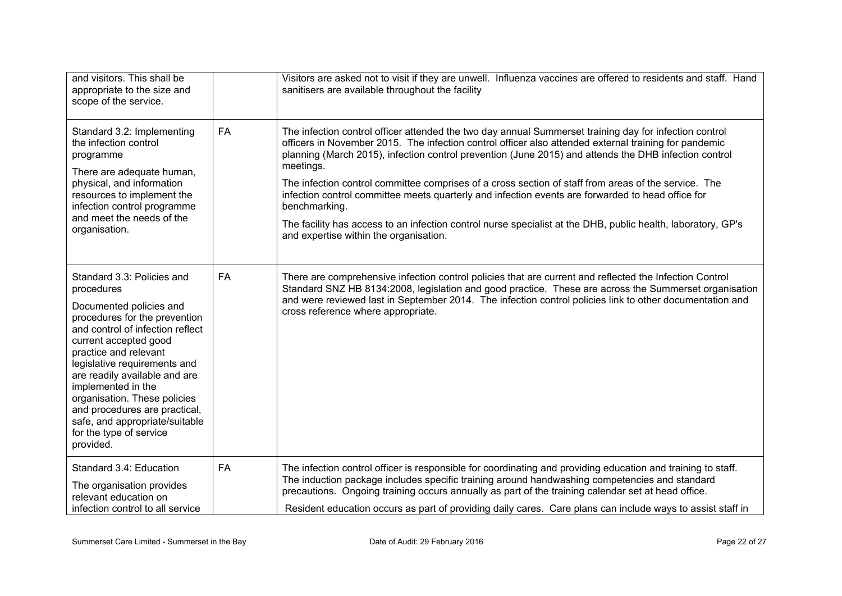| and visitors. This shall be<br>appropriate to the size and<br>scope of the service.                                                                                                                                                                                                                                                                                                                                          |           | Visitors are asked not to visit if they are unwell. Influenza vaccines are offered to residents and staff. Hand<br>sanitisers are available throughout the facility                                                                                                                                                                                                                                                                                                                                                                                                                                                                                                                                                           |
|------------------------------------------------------------------------------------------------------------------------------------------------------------------------------------------------------------------------------------------------------------------------------------------------------------------------------------------------------------------------------------------------------------------------------|-----------|-------------------------------------------------------------------------------------------------------------------------------------------------------------------------------------------------------------------------------------------------------------------------------------------------------------------------------------------------------------------------------------------------------------------------------------------------------------------------------------------------------------------------------------------------------------------------------------------------------------------------------------------------------------------------------------------------------------------------------|
| Standard 3.2: Implementing<br>the infection control<br>programme<br>There are adequate human,<br>physical, and information<br>resources to implement the<br>infection control programme<br>and meet the needs of the<br>organisation.                                                                                                                                                                                        | <b>FA</b> | The infection control officer attended the two day annual Summerset training day for infection control<br>officers in November 2015. The infection control officer also attended external training for pandemic<br>planning (March 2015), infection control prevention (June 2015) and attends the DHB infection control<br>meetings.<br>The infection control committee comprises of a cross section of staff from areas of the service. The<br>infection control committee meets quarterly and infection events are forwarded to head office for<br>benchmarking.<br>The facility has access to an infection control nurse specialist at the DHB, public health, laboratory, GP's<br>and expertise within the organisation. |
| Standard 3.3: Policies and<br>procedures<br>Documented policies and<br>procedures for the prevention<br>and control of infection reflect<br>current accepted good<br>practice and relevant<br>legislative requirements and<br>are readily available and are<br>implemented in the<br>organisation. These policies<br>and procedures are practical,<br>safe, and appropriate/suitable<br>for the type of service<br>provided. | FA        | There are comprehensive infection control policies that are current and reflected the Infection Control<br>Standard SNZ HB 8134:2008, legislation and good practice. These are across the Summerset organisation<br>and were reviewed last in September 2014. The infection control policies link to other documentation and<br>cross reference where appropriate.                                                                                                                                                                                                                                                                                                                                                            |
| Standard 3.4: Education<br>The organisation provides<br>relevant education on<br>infection control to all service                                                                                                                                                                                                                                                                                                            | <b>FA</b> | The infection control officer is responsible for coordinating and providing education and training to staff.<br>The induction package includes specific training around handwashing competencies and standard<br>precautions. Ongoing training occurs annually as part of the training calendar set at head office.<br>Resident education occurs as part of providing daily cares. Care plans can include ways to assist staff in                                                                                                                                                                                                                                                                                             |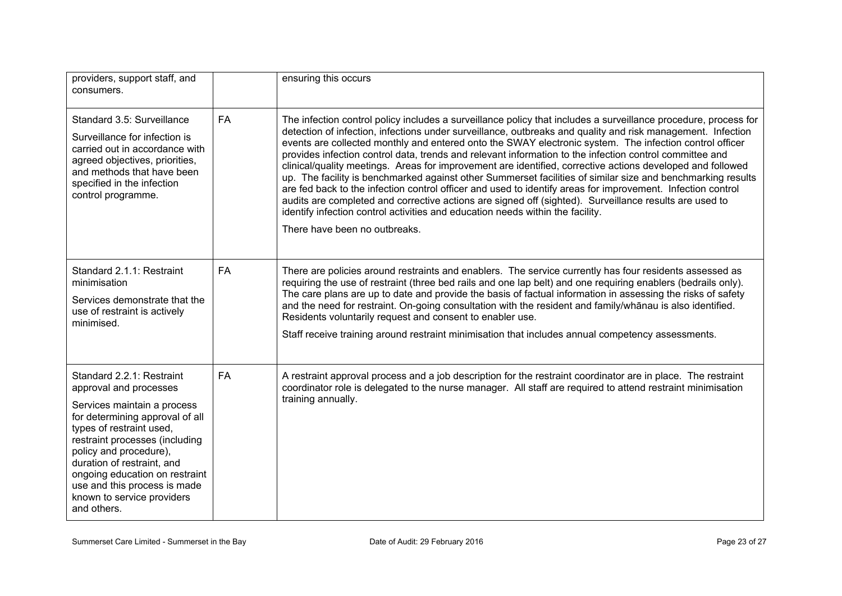| providers, support staff, and<br>consumers.                                                                                                                                                                                                                                                                                                                |           | ensuring this occurs                                                                                                                                                                                                                                                                                                                                                                                                                                                                                                                                                                                                                                                                                                                                                                                                                                                                                                                                                                                                          |
|------------------------------------------------------------------------------------------------------------------------------------------------------------------------------------------------------------------------------------------------------------------------------------------------------------------------------------------------------------|-----------|-------------------------------------------------------------------------------------------------------------------------------------------------------------------------------------------------------------------------------------------------------------------------------------------------------------------------------------------------------------------------------------------------------------------------------------------------------------------------------------------------------------------------------------------------------------------------------------------------------------------------------------------------------------------------------------------------------------------------------------------------------------------------------------------------------------------------------------------------------------------------------------------------------------------------------------------------------------------------------------------------------------------------------|
| Standard 3.5: Surveillance<br>Surveillance for infection is<br>carried out in accordance with<br>agreed objectives, priorities,<br>and methods that have been<br>specified in the infection<br>control programme.                                                                                                                                          | <b>FA</b> | The infection control policy includes a surveillance policy that includes a surveillance procedure, process for<br>detection of infection, infections under surveillance, outbreaks and quality and risk management. Infection<br>events are collected monthly and entered onto the SWAY electronic system. The infection control officer<br>provides infection control data, trends and relevant information to the infection control committee and<br>clinical/quality meetings. Areas for improvement are identified, corrective actions developed and followed<br>up. The facility is benchmarked against other Summerset facilities of similar size and benchmarking results<br>are fed back to the infection control officer and used to identify areas for improvement. Infection control<br>audits are completed and corrective actions are signed off (sighted). Surveillance results are used to<br>identify infection control activities and education needs within the facility.<br>There have been no outbreaks. |
| Standard 2.1.1: Restraint<br>minimisation<br>Services demonstrate that the<br>use of restraint is actively<br>minimised.                                                                                                                                                                                                                                   | <b>FA</b> | There are policies around restraints and enablers. The service currently has four residents assessed as<br>requiring the use of restraint (three bed rails and one lap belt) and one requiring enablers (bedrails only).<br>The care plans are up to date and provide the basis of factual information in assessing the risks of safety<br>and the need for restraint. On-going consultation with the resident and family/whanau is also identified.<br>Residents voluntarily request and consent to enabler use.<br>Staff receive training around restraint minimisation that includes annual competency assessments.                                                                                                                                                                                                                                                                                                                                                                                                        |
| Standard 2.2.1: Restraint<br>approval and processes<br>Services maintain a process<br>for determining approval of all<br>types of restraint used,<br>restraint processes (including<br>policy and procedure),<br>duration of restraint, and<br>ongoing education on restraint<br>use and this process is made<br>known to service providers<br>and others. | FA        | A restraint approval process and a job description for the restraint coordinator are in place. The restraint<br>coordinator role is delegated to the nurse manager. All staff are required to attend restraint minimisation<br>training annually.                                                                                                                                                                                                                                                                                                                                                                                                                                                                                                                                                                                                                                                                                                                                                                             |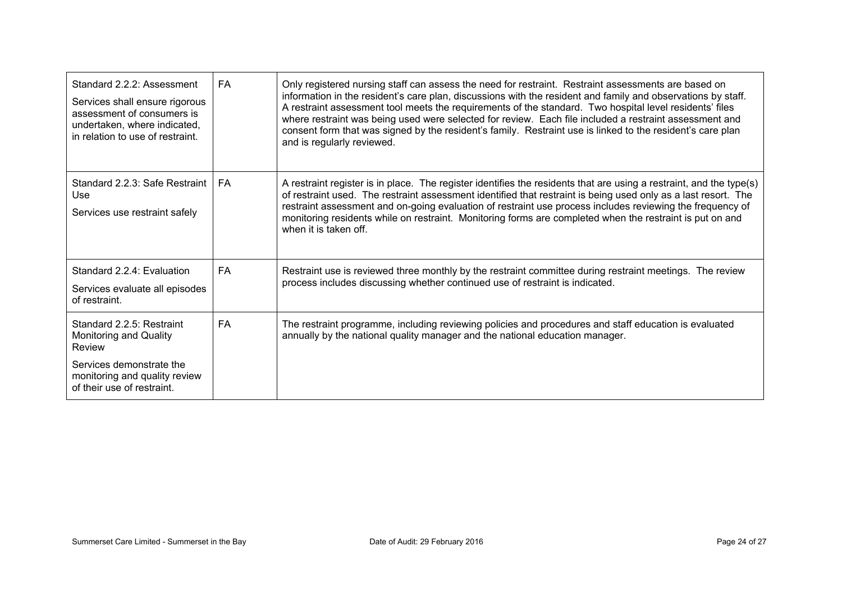| Standard 2.2.2: Assessment<br>Services shall ensure rigorous<br>assessment of consumers is<br>undertaken, where indicated,<br>in relation to use of restraint.  | FA        | Only registered nursing staff can assess the need for restraint. Restraint assessments are based on<br>information in the resident's care plan, discussions with the resident and family and observations by staff.<br>A restraint assessment tool meets the requirements of the standard. Two hospital level residents' files<br>where restraint was being used were selected for review. Each file included a restraint assessment and<br>consent form that was signed by the resident's family. Restraint use is linked to the resident's care plan<br>and is regularly reviewed. |
|-----------------------------------------------------------------------------------------------------------------------------------------------------------------|-----------|--------------------------------------------------------------------------------------------------------------------------------------------------------------------------------------------------------------------------------------------------------------------------------------------------------------------------------------------------------------------------------------------------------------------------------------------------------------------------------------------------------------------------------------------------------------------------------------|
| Standard 2.2.3: Safe Restraint<br>Use<br>Services use restraint safely                                                                                          | FA        | A restraint register is in place. The register identifies the residents that are using a restraint, and the type(s)<br>of restraint used. The restraint assessment identified that restraint is being used only as a last resort. The<br>restraint assessment and on-going evaluation of restraint use process includes reviewing the frequency of<br>monitoring residents while on restraint. Monitoring forms are completed when the restraint is put on and<br>when it is taken off.                                                                                              |
| Standard 2.2.4: Evaluation<br>Services evaluate all episodes<br>of restraint.                                                                                   | FA        | Restraint use is reviewed three monthly by the restraint committee during restraint meetings. The review<br>process includes discussing whether continued use of restraint is indicated.                                                                                                                                                                                                                                                                                                                                                                                             |
| Standard 2.2.5: Restraint<br><b>Monitoring and Quality</b><br>Review<br>Services demonstrate the<br>monitoring and quality review<br>of their use of restraint. | <b>FA</b> | The restraint programme, including reviewing policies and procedures and staff education is evaluated<br>annually by the national quality manager and the national education manager.                                                                                                                                                                                                                                                                                                                                                                                                |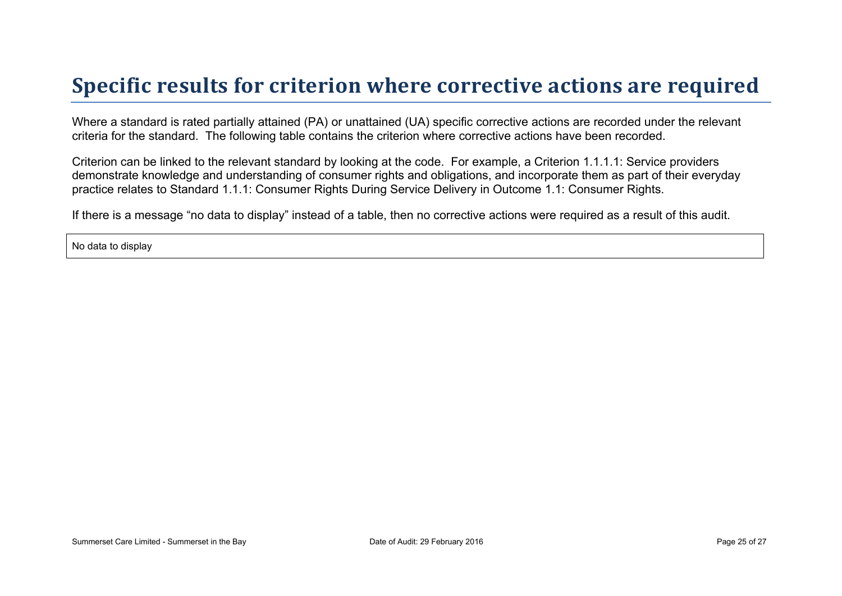## **Specific results for criterion where corrective actions are required**

Where a standard is rated partially attained (PA) or unattained (UA) specific corrective actions are recorded under the relevant criteria for the standard. The following table contains the criterion where corrective actions have been recorded.

Criterion can be linked to the relevant standard by looking at the code. For example, a Criterion 1.1.1.1: Service providers demonstrate knowledge and understanding of consumer rights and obligations, and incorporate them as part of their everyday practice relates to Standard 1.1.1: Consumer Rights During Service Delivery in Outcome 1.1: Consumer Rights.

If there is a message "no data to display" instead of a table, then no corrective actions were required as a result of this audit.

No data to display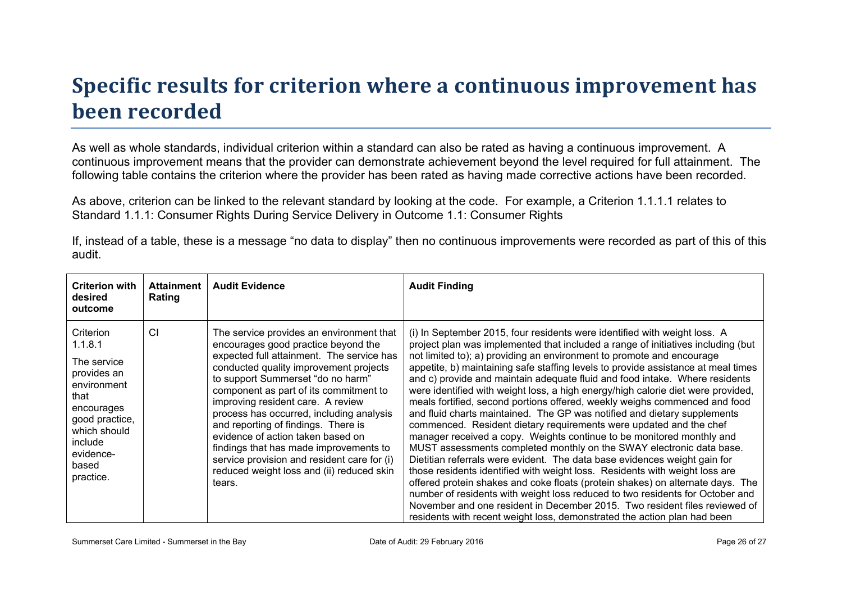# **Specific results for criterion where a continuous improvement has been recorded**

As well as whole standards, individual criterion within a standard can also be rated as having a continuous improvement. A continuous improvement means that the provider can demonstrate achievement beyond the level required for full attainment. The following table contains the criterion where the provider has been rated as having made corrective actions have been recorded.

As above, criterion can be linked to the relevant standard by looking at the code. For example, a Criterion 1.1.1.1 relates to Standard 1.1.1: Consumer Rights During Service Delivery in Outcome 1.1: Consumer Rights

| auult.                                                                                                                                                                  |                             |                                                                                                                                                                                                                                                                                                                                                                                                                                                                                                                                                                    |                                                                                                                                                                                                                                                                                                                                                                                                                                                                                                                                                                                                                                                                                                                                                                                                                                                                                                                                                                                                                                                                                                                                                                                                                                                                                                                                                                          |  |
|-------------------------------------------------------------------------------------------------------------------------------------------------------------------------|-----------------------------|--------------------------------------------------------------------------------------------------------------------------------------------------------------------------------------------------------------------------------------------------------------------------------------------------------------------------------------------------------------------------------------------------------------------------------------------------------------------------------------------------------------------------------------------------------------------|--------------------------------------------------------------------------------------------------------------------------------------------------------------------------------------------------------------------------------------------------------------------------------------------------------------------------------------------------------------------------------------------------------------------------------------------------------------------------------------------------------------------------------------------------------------------------------------------------------------------------------------------------------------------------------------------------------------------------------------------------------------------------------------------------------------------------------------------------------------------------------------------------------------------------------------------------------------------------------------------------------------------------------------------------------------------------------------------------------------------------------------------------------------------------------------------------------------------------------------------------------------------------------------------------------------------------------------------------------------------------|--|
| <b>Criterion with</b><br>desired<br>outcome                                                                                                                             | <b>Attainment</b><br>Rating | <b>Audit Evidence</b>                                                                                                                                                                                                                                                                                                                                                                                                                                                                                                                                              | <b>Audit Finding</b>                                                                                                                                                                                                                                                                                                                                                                                                                                                                                                                                                                                                                                                                                                                                                                                                                                                                                                                                                                                                                                                                                                                                                                                                                                                                                                                                                     |  |
| Criterion<br>1.1.8.1<br>The service<br>provides an<br>environment<br>that<br>encourages<br>good practice,<br>which should<br>include<br>evidence-<br>based<br>practice. | CI                          | The service provides an environment that<br>encourages good practice beyond the<br>expected full attainment. The service has<br>conducted quality improvement projects<br>to support Summerset "do no harm"<br>component as part of its commitment to<br>improving resident care. A review<br>process has occurred, including analysis<br>and reporting of findings. There is<br>evidence of action taken based on<br>findings that has made improvements to<br>service provision and resident care for (i)<br>reduced weight loss and (ii) reduced skin<br>tears. | (i) In September 2015, four residents were identified with weight loss. A<br>project plan was implemented that included a range of initiatives including (but<br>not limited to); a) providing an environment to promote and encourage<br>appetite, b) maintaining safe staffing levels to provide assistance at meal times<br>and c) provide and maintain adequate fluid and food intake. Where residents<br>were identified with weight loss, a high energy/high calorie diet were provided,<br>meals fortified, second portions offered, weekly weighs commenced and food<br>and fluid charts maintained. The GP was notified and dietary supplements<br>commenced. Resident dietary requirements were updated and the chef<br>manager received a copy. Weights continue to be monitored monthly and<br>MUST assessments completed monthly on the SWAY electronic data base.<br>Dietitian referrals were evident. The data base evidences weight gain for<br>those residents identified with weight loss. Residents with weight loss are<br>offered protein shakes and coke floats (protein shakes) on alternate days. The<br>number of residents with weight loss reduced to two residents for October and<br>November and one resident in December 2015. Two resident files reviewed of<br>residents with recent weight loss, demonstrated the action plan had been |  |

If, instead of a table, these is a message "no data to display" then no continuous improvements were recorded as part of this of this audit.